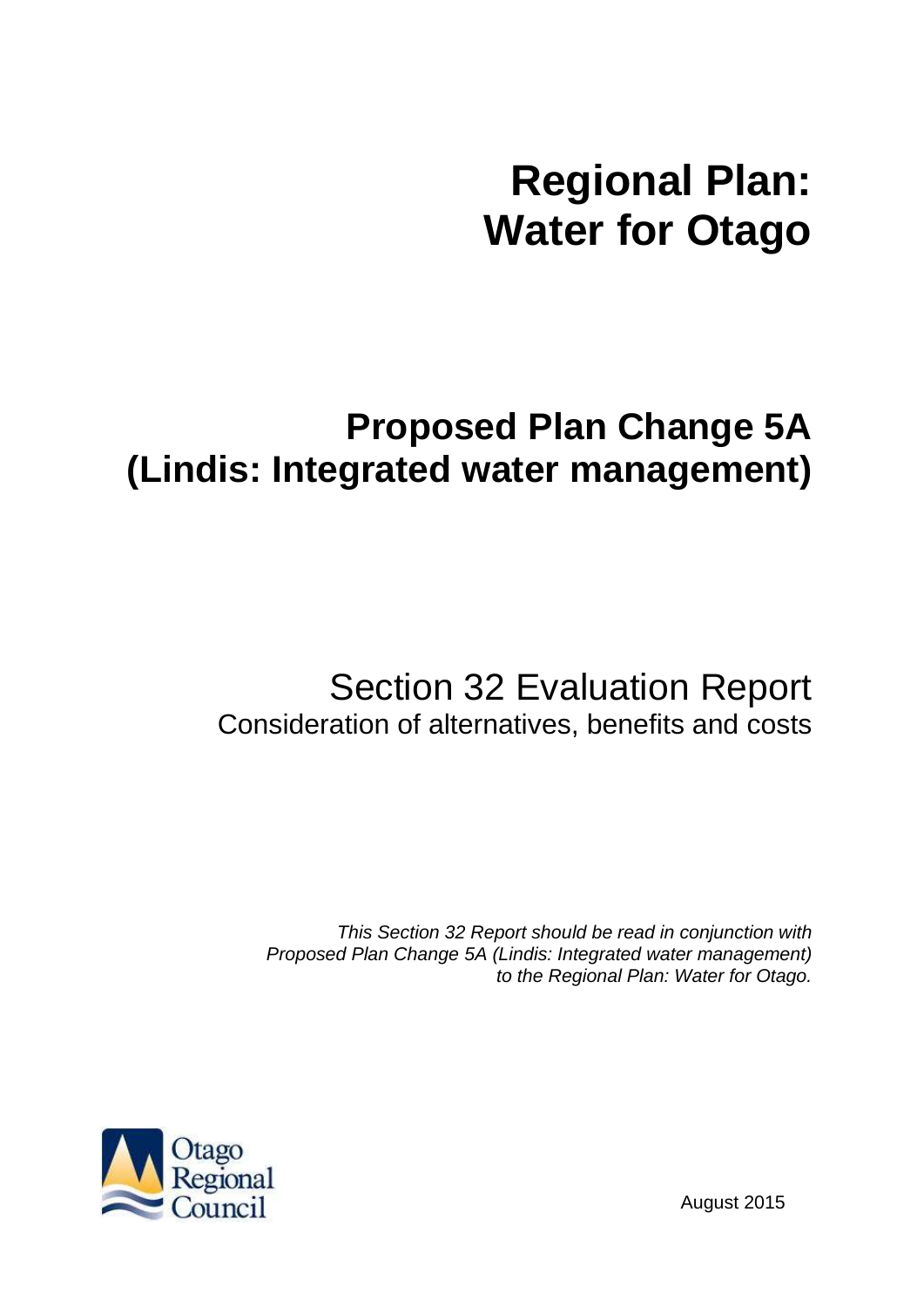# **Regional Plan: Water for Otago**

## **Proposed Plan Change 5A (Lindis: Integrated water management)**

## Section 32 Evaluation Report Consideration of alternatives, benefits and costs

*This Section 32 Report should be read in conjunction with Proposed Plan Change 5A (Lindis: Integrated water management) to the Regional Plan: Water for Otago.*



August 2015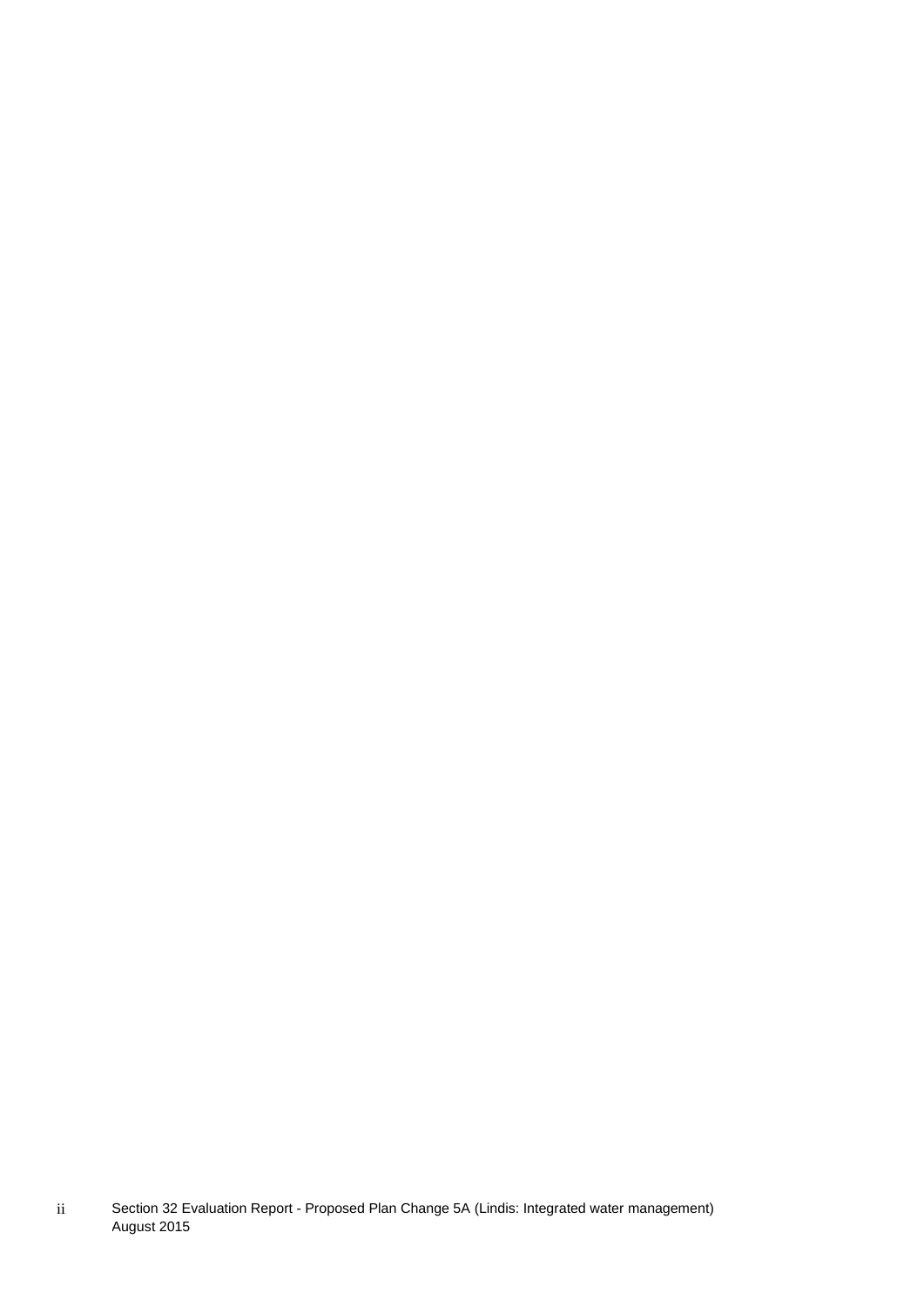ii Section 32 Evaluation Report - Proposed Plan Change 5A (Lindis: Integrated water management) August 2015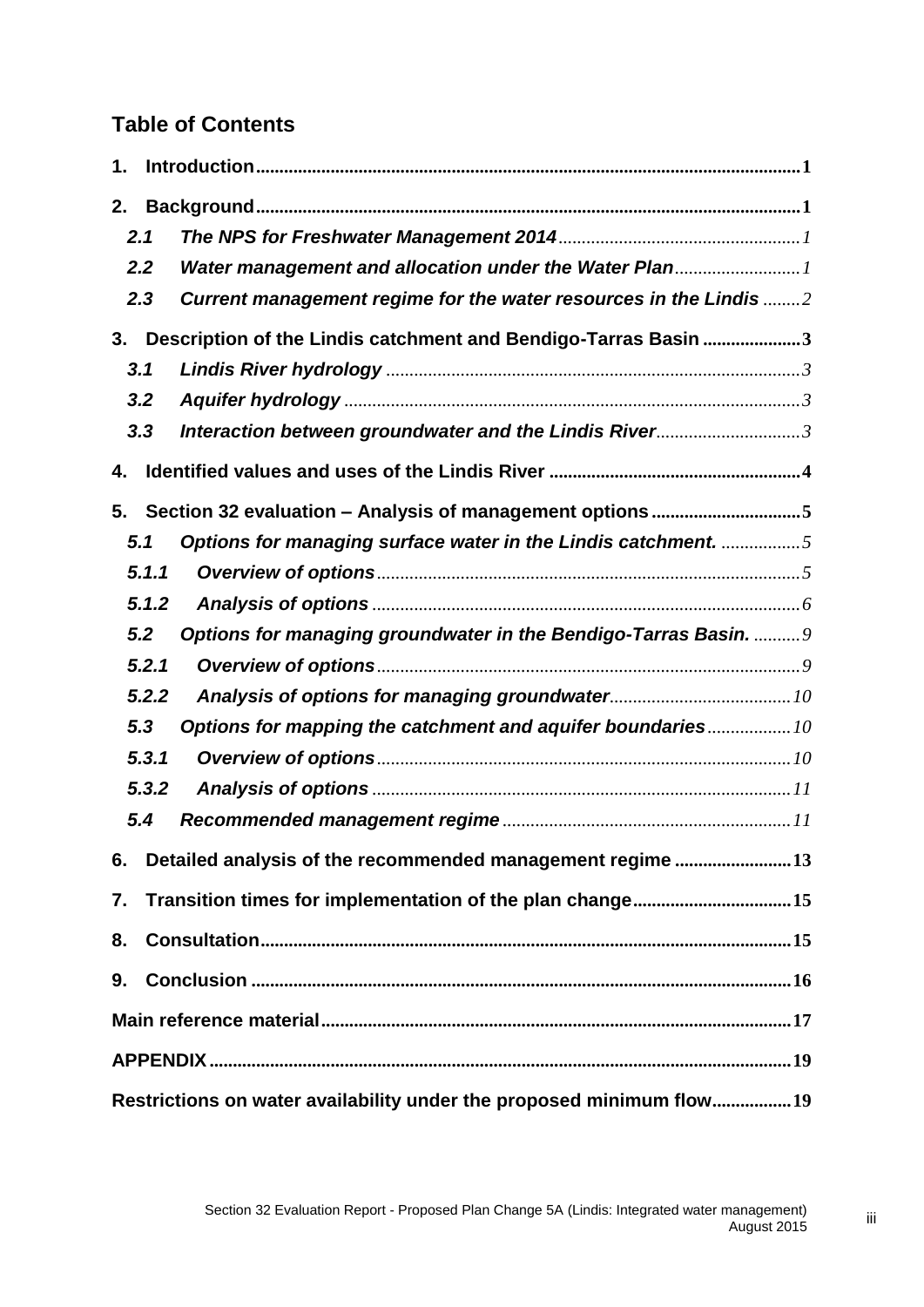## **Table of Contents**

| 1. |       |                                                                      |  |  |
|----|-------|----------------------------------------------------------------------|--|--|
| 2. |       |                                                                      |  |  |
|    | 2.1   |                                                                      |  |  |
|    | 2.2   | Water management and allocation under the Water Plan1                |  |  |
|    | 2.3   | Current management regime for the water resources in the Lindis  2   |  |  |
| 3. |       | Description of the Lindis catchment and Bendigo-Tarras Basin 3       |  |  |
|    | 3.1   |                                                                      |  |  |
|    | 3.2   |                                                                      |  |  |
|    | 3.3   | Interaction between groundwater and the Lindis River3                |  |  |
| 4. |       |                                                                      |  |  |
|    |       | 5. Section 32 evaluation - Analysis of management options5           |  |  |
|    | 5.1   | Options for managing surface water in the Lindis catchment. 5        |  |  |
|    | 5.1.1 |                                                                      |  |  |
|    | 5.1.2 |                                                                      |  |  |
|    | 5.2   | Options for managing groundwater in the Bendigo-Tarras Basin 9       |  |  |
|    | 5.2.1 |                                                                      |  |  |
|    | 5.2.2 |                                                                      |  |  |
|    | 5.3   | Options for mapping the catchment and aquifer boundaries10           |  |  |
|    | 5.3.1 |                                                                      |  |  |
|    | 5.3.2 |                                                                      |  |  |
|    | 5.4   |                                                                      |  |  |
| 6. |       | Detailed analysis of the recommended management regime 13            |  |  |
| 7. |       |                                                                      |  |  |
| 8. |       |                                                                      |  |  |
| 9. |       |                                                                      |  |  |
|    |       |                                                                      |  |  |
|    |       |                                                                      |  |  |
|    |       | Restrictions on water availability under the proposed minimum flow19 |  |  |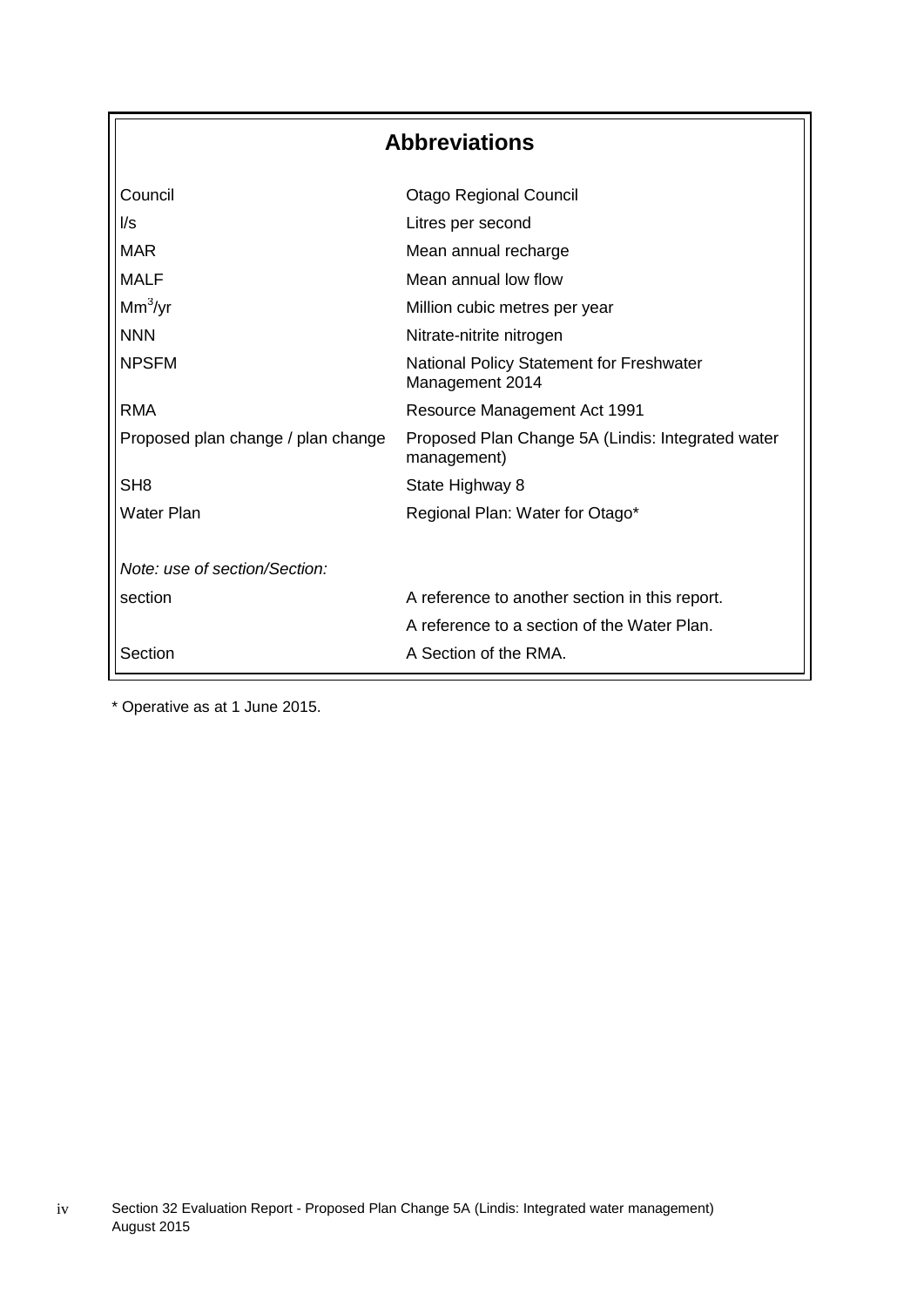| <b>Abbreviations</b>               |                                                                  |  |
|------------------------------------|------------------------------------------------------------------|--|
| Council                            | <b>Otago Regional Council</b>                                    |  |
| l/s                                | Litres per second                                                |  |
| <b>MAR</b>                         | Mean annual recharge                                             |  |
| <b>MALF</b>                        | Mean annual low flow                                             |  |
| Mm <sup>3</sup> /yr                | Million cubic metres per year                                    |  |
| <b>NNN</b>                         | Nitrate-nitrite nitrogen                                         |  |
| <b>NPSFM</b>                       | National Policy Statement for Freshwater<br>Management 2014      |  |
| <b>RMA</b>                         | Resource Management Act 1991                                     |  |
| Proposed plan change / plan change | Proposed Plan Change 5A (Lindis: Integrated water<br>management) |  |
| SH <sub>8</sub>                    | State Highway 8                                                  |  |
| <b>Water Plan</b>                  | Regional Plan: Water for Otago*                                  |  |
|                                    |                                                                  |  |
| Note: use of section/Section:      |                                                                  |  |
| section                            | A reference to another section in this report.                   |  |
|                                    | A reference to a section of the Water Plan.                      |  |
| Section                            | A Section of the RMA.                                            |  |

\* Operative as at 1 June 2015.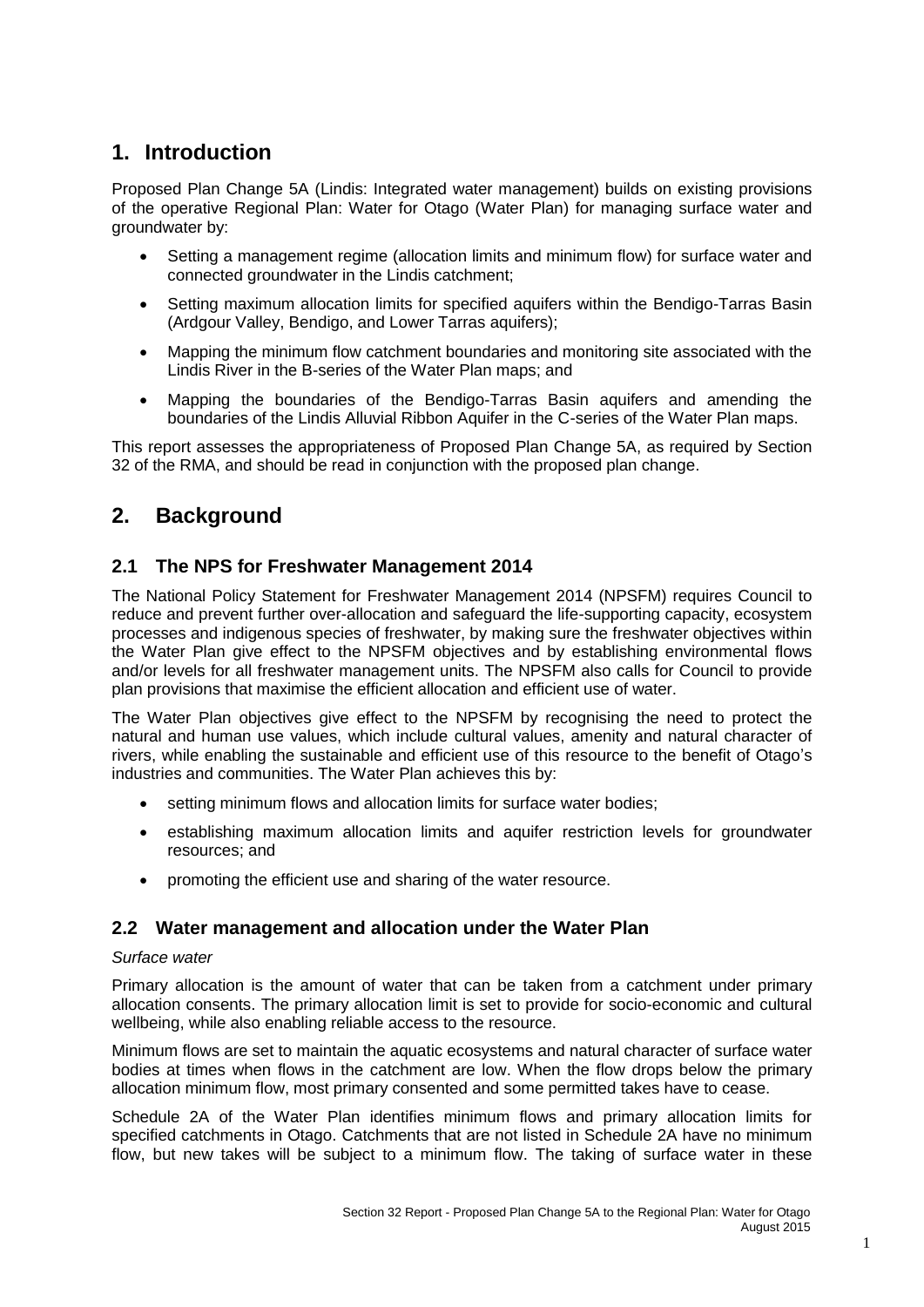## <span id="page-4-0"></span>**1. Introduction**

Proposed Plan Change 5A (Lindis: Integrated water management) builds on existing provisions of the operative Regional Plan: Water for Otago (Water Plan) for managing surface water and groundwater by:

- Setting a management regime (allocation limits and minimum flow) for surface water and connected groundwater in the Lindis catchment;
- Setting maximum allocation limits for specified aquifers within the Bendigo-Tarras Basin (Ardgour Valley, Bendigo, and Lower Tarras aquifers);
- Mapping the minimum flow catchment boundaries and monitoring site associated with the Lindis River in the B-series of the Water Plan maps; and
- Mapping the boundaries of the Bendigo-Tarras Basin aquifers and amending the boundaries of the Lindis Alluvial Ribbon Aquifer in the C-series of the Water Plan maps.

This report assesses the appropriateness of Proposed Plan Change 5A, as required by Section 32 of the RMA, and should be read in conjunction with the proposed plan change.

## <span id="page-4-1"></span>**2. Background**

#### <span id="page-4-2"></span>**2.1 The NPS for Freshwater Management 2014**

The National Policy Statement for Freshwater Management 2014 (NPSFM) requires Council to reduce and prevent further over-allocation and safeguard the life-supporting capacity, ecosystem processes and indigenous species of freshwater, by making sure the freshwater objectives within the Water Plan give effect to the NPSFM objectives and by establishing environmental flows and/or levels for all freshwater management units. The NPSFM also calls for Council to provide plan provisions that maximise the efficient allocation and efficient use of water.

The Water Plan objectives give effect to the NPSFM by recognising the need to protect the natural and human use values, which include cultural values, amenity and natural character of rivers, while enabling the sustainable and efficient use of this resource to the benefit of Otago's industries and communities. The Water Plan achieves this by:

- setting minimum flows and allocation limits for surface water bodies;
- establishing maximum allocation limits and aquifer restriction levels for groundwater resources; and
- promoting the efficient use and sharing of the water resource.

#### <span id="page-4-3"></span>**2.2 Water management and allocation under the Water Plan**

#### *Surface water*

Primary allocation is the amount of water that can be taken from a catchment under primary allocation consents. The primary allocation limit is set to provide for socio-economic and cultural wellbeing, while also enabling reliable access to the resource.

Minimum flows are set to maintain the aquatic ecosystems and natural character of surface water bodies at times when flows in the catchment are low. When the flow drops below the primary allocation minimum flow, most primary consented and some permitted takes have to cease.

Schedule 2A of the Water Plan identifies minimum flows and primary allocation limits for specified catchments in Otago. Catchments that are not listed in Schedule 2A have no minimum flow, but new takes will be subject to a minimum flow. The taking of surface water in these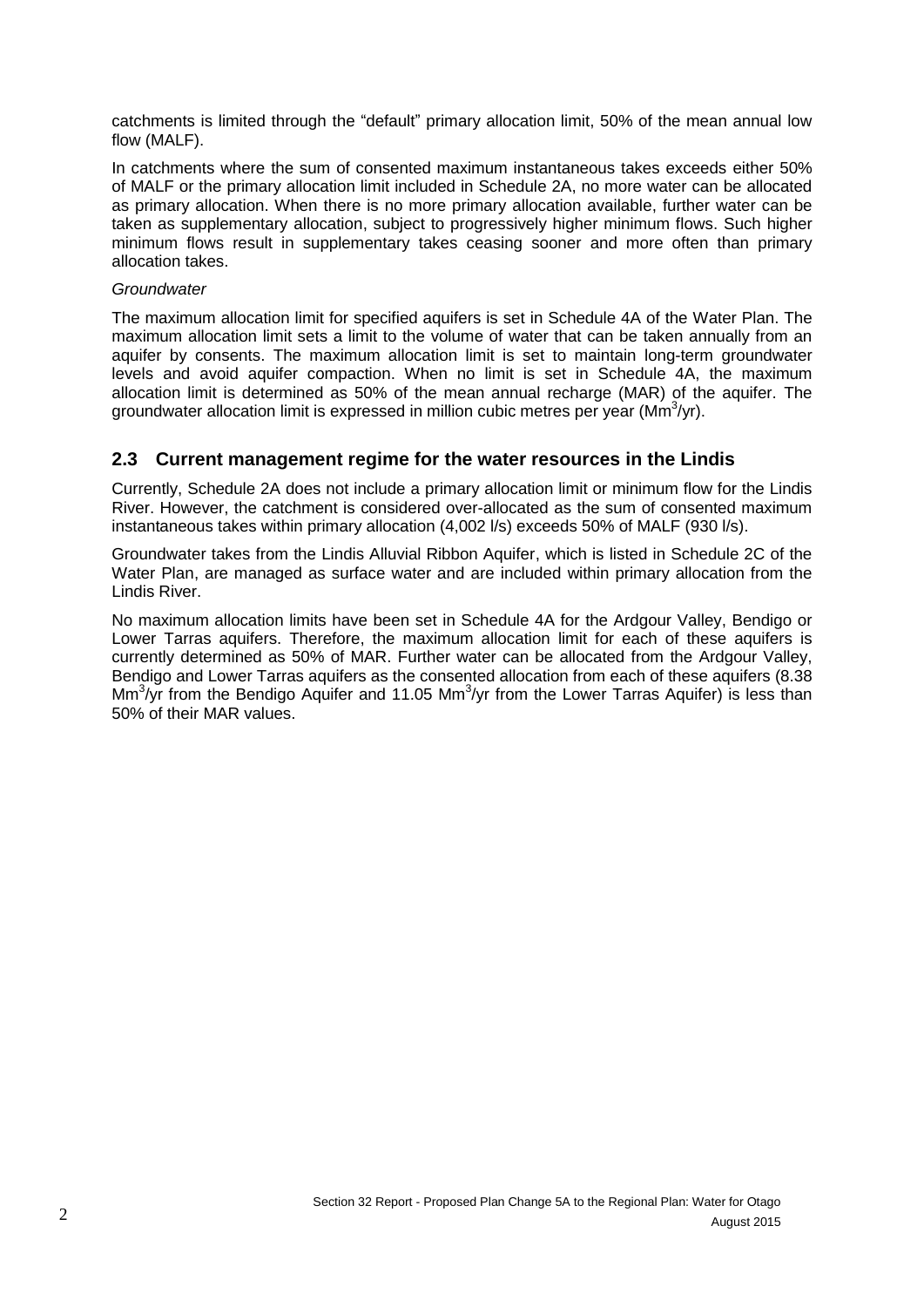catchments is limited through the "default" primary allocation limit, 50% of the mean annual low flow (MALF).

In catchments where the sum of consented maximum instantaneous takes exceeds either 50% of MALF or the primary allocation limit included in Schedule 2A, no more water can be allocated as primary allocation. When there is no more primary allocation available, further water can be taken as supplementary allocation, subject to progressively higher minimum flows. Such higher minimum flows result in supplementary takes ceasing sooner and more often than primary allocation takes.

#### *Groundwater*

The maximum allocation limit for specified aquifers is set in Schedule 4A of the Water Plan. The maximum allocation limit sets a limit to the volume of water that can be taken annually from an aquifer by consents. The maximum allocation limit is set to maintain long-term groundwater levels and avoid aquifer compaction. When no limit is set in Schedule 4A, the maximum allocation limit is determined as 50% of the mean annual recharge (MAR) of the aquifer. The groundwater allocation limit is expressed in million cubic metres per year ( $\text{Mm}^3/\text{yr}$ ).

#### <span id="page-5-0"></span>**2.3 Current management regime for the water resources in the Lindis**

Currently, Schedule 2A does not include a primary allocation limit or minimum flow for the Lindis River. However, the catchment is considered over-allocated as the sum of consented maximum instantaneous takes within primary allocation (4,002 l/s) exceeds 50% of MALF (930 l/s).

Groundwater takes from the Lindis Alluvial Ribbon Aquifer, which is listed in Schedule 2C of the Water Plan, are managed as surface water and are included within primary allocation from the Lindis River.

No maximum allocation limits have been set in Schedule 4A for the Ardgour Valley, Bendigo or Lower Tarras aquifers. Therefore, the maximum allocation limit for each of these aquifers is currently determined as 50% of MAR. Further water can be allocated from the Ardgour Valley, Bendigo and Lower Tarras aquifers as the consented allocation from each of these aquifers (8.38  $\text{Mm}^3$ /yr from the Bendigo Aquifer and 11.05 Mm $^3$ /yr from the Lower Tarras Aquifer) is less than 50% of their MAR values.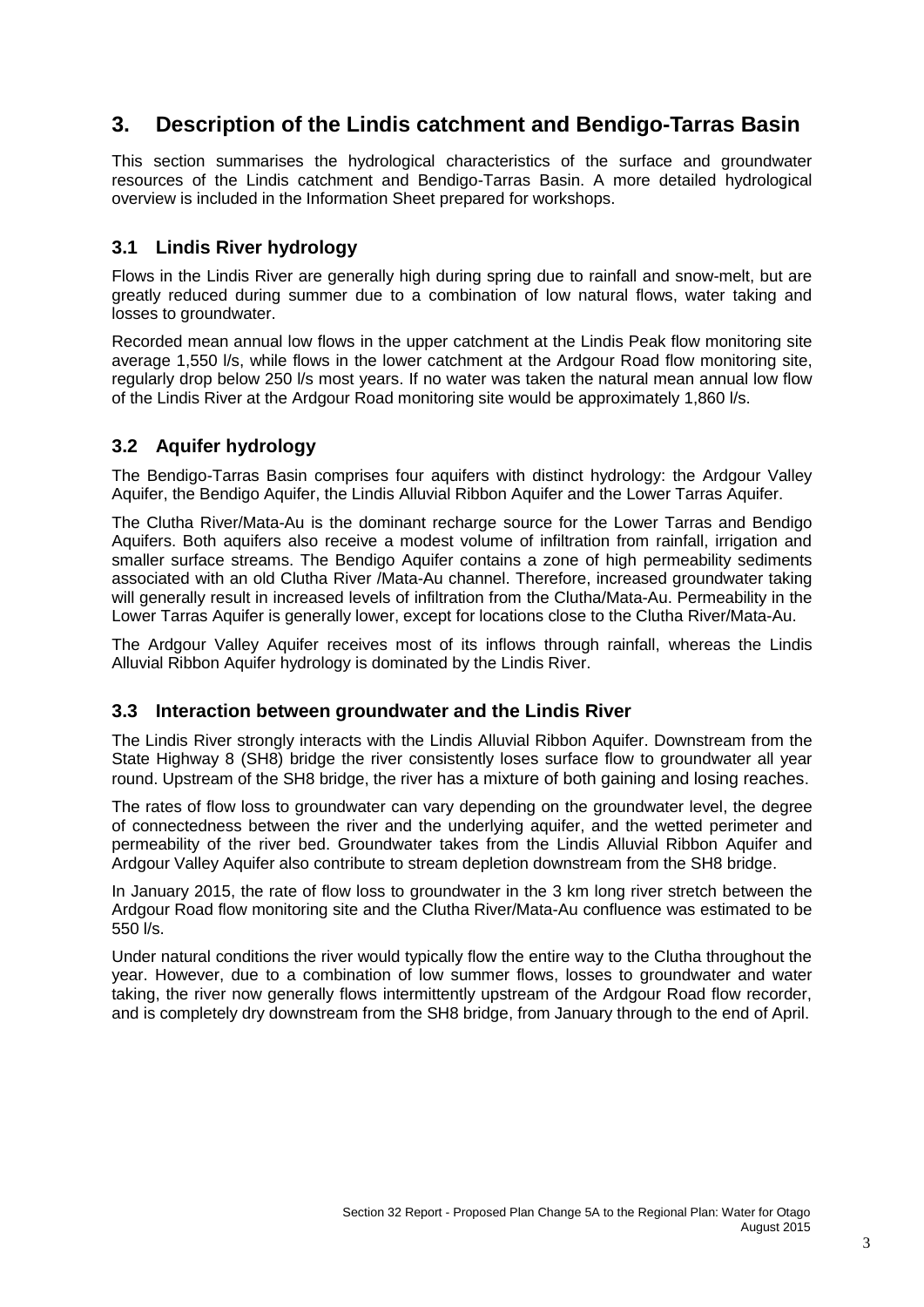## <span id="page-6-0"></span>**3. Description of the Lindis catchment and Bendigo-Tarras Basin**

This section summarises the hydrological characteristics of the surface and groundwater resources of the Lindis catchment and Bendigo-Tarras Basin. A more detailed hydrological overview is included in the Information Sheet prepared for workshops.

#### <span id="page-6-1"></span>**3.1 Lindis River hydrology**

Flows in the Lindis River are generally high during spring due to rainfall and snow-melt, but are greatly reduced during summer due to a combination of low natural flows, water taking and losses to groundwater.

Recorded mean annual low flows in the upper catchment at the Lindis Peak flow monitoring site average 1,550 l/s, while flows in the lower catchment at the Ardgour Road flow monitoring site, regularly drop below 250 l/s most years. If no water was taken the natural mean annual low flow of the Lindis River at the Ardgour Road monitoring site would be approximately 1,860 l/s.

#### <span id="page-6-2"></span>**3.2 Aquifer hydrology**

The Bendigo-Tarras Basin comprises four aquifers with distinct hydrology: the Ardgour Valley Aquifer, the Bendigo Aquifer, the Lindis Alluvial Ribbon Aquifer and the Lower Tarras Aquifer.

The Clutha River/Mata-Au is the dominant recharge source for the Lower Tarras and Bendigo Aquifers. Both aquifers also receive a modest volume of infiltration from rainfall, irrigation and smaller surface streams. The Bendigo Aquifer contains a zone of high permeability sediments associated with an old Clutha River /Mata-Au channel. Therefore, increased groundwater taking will generally result in increased levels of infiltration from the Clutha/Mata-Au. Permeability in the Lower Tarras Aquifer is generally lower, except for locations close to the Clutha River/Mata-Au.

The Ardgour Valley Aquifer receives most of its inflows through rainfall, whereas the Lindis Alluvial Ribbon Aquifer hydrology is dominated by the Lindis River.

#### <span id="page-6-3"></span>**3.3 Interaction between groundwater and the Lindis River**

The Lindis River strongly interacts with the Lindis Alluvial Ribbon Aquifer. Downstream from the State Highway 8 (SH8) bridge the river consistently loses surface flow to groundwater all year round. Upstream of the SH8 bridge, the river has a mixture of both gaining and losing reaches.

The rates of flow loss to groundwater can vary depending on the groundwater level, the degree of connectedness between the river and the underlying aquifer, and the wetted perimeter and permeability of the river bed. Groundwater takes from the Lindis Alluvial Ribbon Aquifer and Ardgour Valley Aquifer also contribute to stream depletion downstream from the SH8 bridge.

In January 2015, the rate of flow loss to groundwater in the 3 km long river stretch between the Ardgour Road flow monitoring site and the Clutha River/Mata-Au confluence was estimated to be 550 l/s.

Under natural conditions the river would typically flow the entire way to the Clutha throughout the year. However, due to a combination of low summer flows, losses to groundwater and water taking, the river now generally flows intermittently upstream of the Ardgour Road flow recorder, and is completely dry downstream from the SH8 bridge, from January through to the end of April.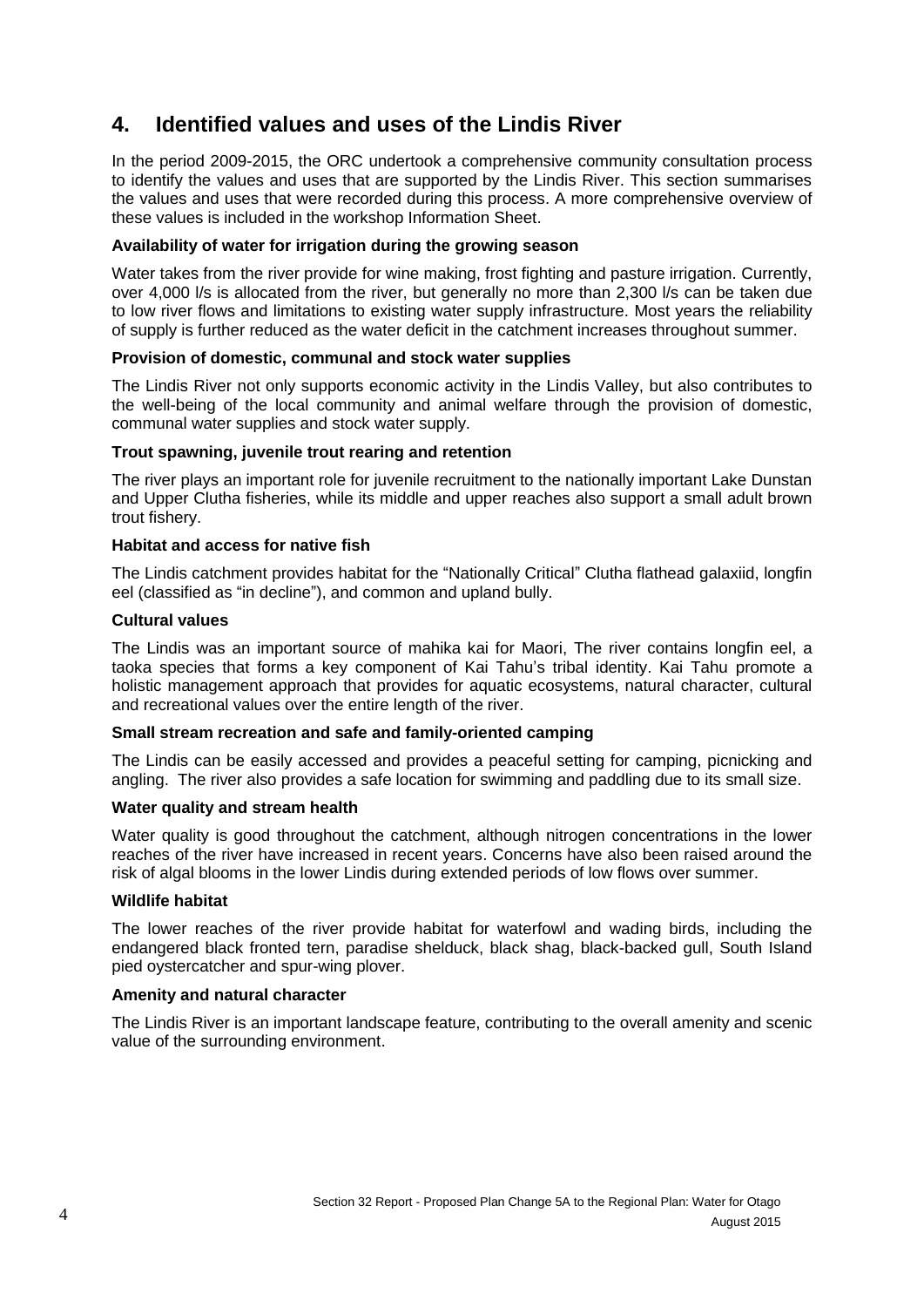## <span id="page-7-0"></span>**4. Identified values and uses of the Lindis River**

In the period 2009-2015, the ORC undertook a comprehensive community consultation process to identify the values and uses that are supported by the Lindis River. This section summarises the values and uses that were recorded during this process. A more comprehensive overview of these values is included in the workshop Information Sheet.

#### **Availability of water for irrigation during the growing season**

Water takes from the river provide for wine making, frost fighting and pasture irrigation. Currently, over 4,000 l/s is allocated from the river, but generally no more than 2,300 l/s can be taken due to low river flows and limitations to existing water supply infrastructure. Most years the reliability of supply is further reduced as the water deficit in the catchment increases throughout summer.

#### **Provision of domestic, communal and stock water supplies**

The Lindis River not only supports economic activity in the Lindis Valley, but also contributes to the well-being of the local community and animal welfare through the provision of domestic, communal water supplies and stock water supply.

#### **Trout spawning, juvenile trout rearing and retention**

The river plays an important role for juvenile recruitment to the nationally important Lake Dunstan and Upper Clutha fisheries, while its middle and upper reaches also support a small adult brown trout fishery.

#### **Habitat and access for native fish**

The Lindis catchment provides habitat for the "Nationally Critical" Clutha flathead galaxiid, longfin eel (classified as "in decline"), and common and upland bully.

#### **Cultural values**

The Lindis was an important source of mahika kai for Maori, The river contains longfin eel, a taoka species that forms a key component of Kai Tahu's tribal identity. Kai Tahu promote a holistic management approach that provides for aquatic ecosystems, natural character, cultural and recreational values over the entire length of the river.

#### **Small stream recreation and safe and family-oriented camping**

The Lindis can be easily accessed and provides a peaceful setting for camping, picnicking and angling. The river also provides a safe location for swimming and paddling due to its small size.

#### **Water quality and stream health**

Water quality is good throughout the catchment, although nitrogen concentrations in the lower reaches of the river have increased in recent years. Concerns have also been raised around the risk of algal blooms in the lower Lindis during extended periods of low flows over summer.

#### **Wildlife habitat**

The lower reaches of the river provide habitat for waterfowl and wading birds, including the endangered black fronted tern, paradise shelduck, black shag, black-backed gull, South Island pied oystercatcher and spur-wing plover.

#### **Amenity and natural character**

The Lindis River is an important landscape feature, contributing to the overall amenity and scenic value of the surrounding environment.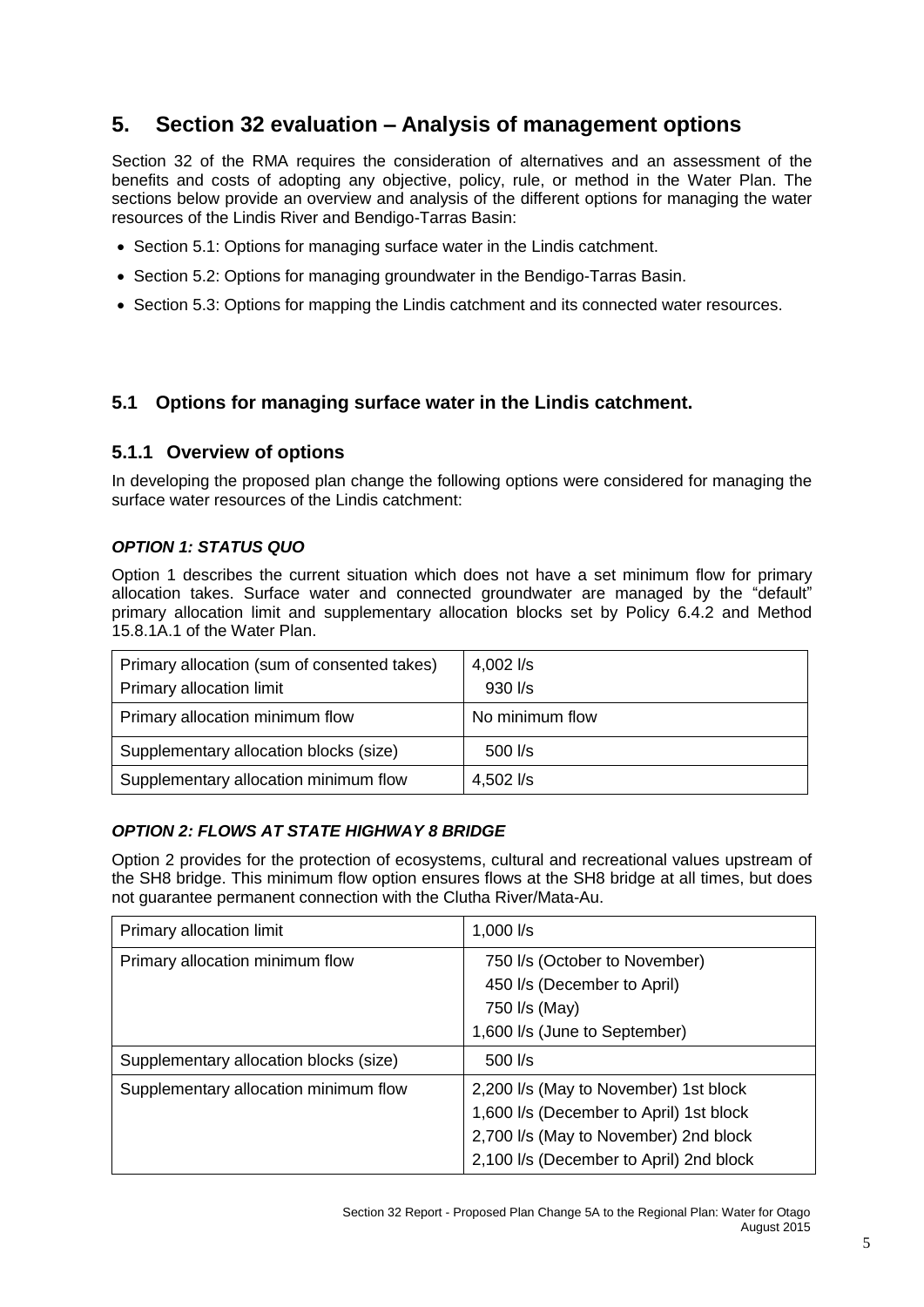## <span id="page-8-0"></span>**5. Section 32 evaluation – Analysis of management options**

Section 32 of the RMA requires the consideration of alternatives and an assessment of the benefits and costs of adopting any objective, policy, rule, or method in the Water Plan. The sections below provide an overview and analysis of the different options for managing the water resources of the Lindis River and Bendigo-Tarras Basin:

- Section 5.1: Options for managing surface water in the Lindis catchment.
- Section 5.2: Options for managing groundwater in the Bendigo-Tarras Basin.
- <span id="page-8-1"></span>• Section 5.3: Options for mapping the Lindis catchment and its connected water resources.

#### **5.1 Options for managing surface water in the Lindis catchment.**

#### <span id="page-8-2"></span>**5.1.1 Overview of options**

In developing the proposed plan change the following options were considered for managing the surface water resources of the Lindis catchment:

#### *OPTION 1: STATUS QUO*

Option 1 describes the current situation which does not have a set minimum flow for primary allocation takes. Surface water and connected groundwater are managed by the "default" primary allocation limit and supplementary allocation blocks set by Policy 6.4.2 and Method 15.8.1A.1 of the Water Plan.

| Primary allocation (sum of consented takes) | 4,002 $\frac{1}{s}$                                     |
|---------------------------------------------|---------------------------------------------------------|
| Primary allocation limit                    | 930 l/s                                                 |
| Primary allocation minimum flow             | No minimum flow                                         |
| Supplementary allocation blocks (size)      | $500$ $\overline{\phantom{0}}$ $\overline{\phantom{0}}$ |
| Supplementary allocation minimum flow       | 4,502 l/s                                               |

#### *OPTION 2: FLOWS AT STATE HIGHWAY 8 BRIDGE*

Option 2 provides for the protection of ecosystems, cultural and recreational values upstream of the SH8 bridge. This minimum flow option ensures flows at the SH8 bridge at all times, but does not guarantee permanent connection with the Clutha River/Mata-Au.

| Primary allocation limit               | $1,000$ $\frac{1}{s}$                                                                                                                                                |
|----------------------------------------|----------------------------------------------------------------------------------------------------------------------------------------------------------------------|
| Primary allocation minimum flow        | 750 I/s (October to November)<br>450 I/s (December to April)<br>750 l/s (May)<br>1,600 I/s (June to September)                                                       |
| Supplementary allocation blocks (size) | $500$ I/s                                                                                                                                                            |
| Supplementary allocation minimum flow  | 2,200 I/s (May to November) 1st block<br>1,600 I/s (December to April) 1st block<br>2,700 I/s (May to November) 2nd block<br>2,100 I/s (December to April) 2nd block |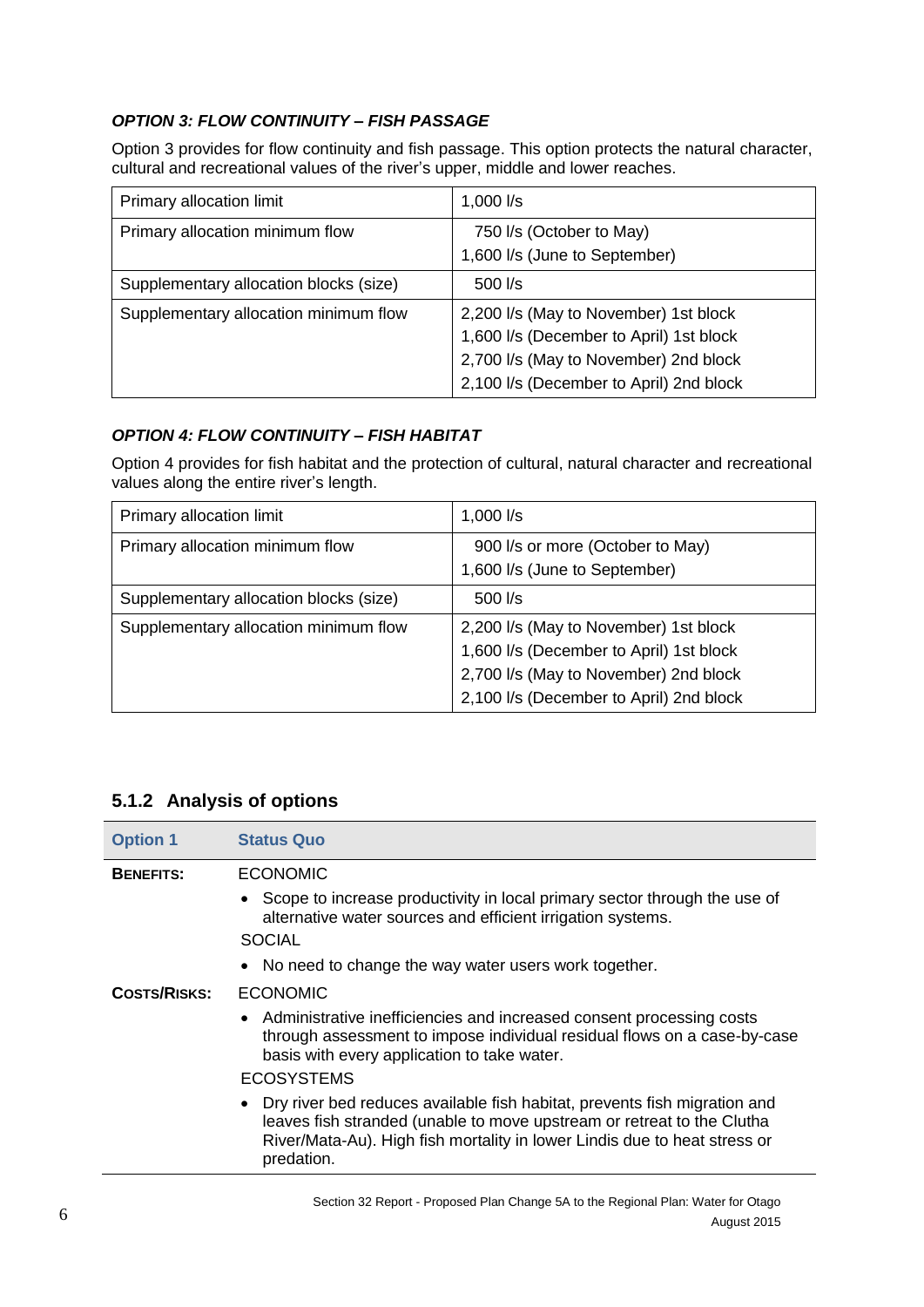#### *OPTION 3: FLOW CONTINUITY – FISH PASSAGE*

Option 3 provides for flow continuity and fish passage. This option protects the natural character, cultural and recreational values of the river's upper, middle and lower reaches.

| Primary allocation limit               | 1,000 l/s                                                                                                                                                            |
|----------------------------------------|----------------------------------------------------------------------------------------------------------------------------------------------------------------------|
| Primary allocation minimum flow        | 750 I/s (October to May)<br>1,600 I/s (June to September)                                                                                                            |
| Supplementary allocation blocks (size) | $500$ $\overline{\phantom{0}}$ $\overline{\phantom{0}}$                                                                                                              |
| Supplementary allocation minimum flow  | 2,200 I/s (May to November) 1st block<br>1,600 I/s (December to April) 1st block<br>2,700 I/s (May to November) 2nd block<br>2,100 I/s (December to April) 2nd block |

#### *OPTION 4: FLOW CONTINUITY – FISH HABITAT*

Option 4 provides for fish habitat and the protection of cultural, natural character and recreational values along the entire river's length.

| Primary allocation limit               | $1,000$ $\frac{1}{s}$                                                                                                                                                |
|----------------------------------------|----------------------------------------------------------------------------------------------------------------------------------------------------------------------|
| Primary allocation minimum flow        | 900 I/s or more (October to May)<br>1,600 I/s (June to September)                                                                                                    |
| Supplementary allocation blocks (size) | $500$ $\overline{\phantom{0}}$ $\overline{\phantom{0}}$                                                                                                              |
| Supplementary allocation minimum flow  | 2,200 I/s (May to November) 1st block<br>1,600 I/s (December to April) 1st block<br>2,700 I/s (May to November) 2nd block<br>2,100 I/s (December to April) 2nd block |

#### <span id="page-9-0"></span>**5.1.2 Analysis of options**

| <b>Option 1</b>  | <b>Status Quo</b>                                                                                                                                                                                                                                           |
|------------------|-------------------------------------------------------------------------------------------------------------------------------------------------------------------------------------------------------------------------------------------------------------|
| <b>BENEFITS:</b> | <b>ECONOMIC</b>                                                                                                                                                                                                                                             |
|                  | Scope to increase productivity in local primary sector through the use of<br>$\bullet$<br>alternative water sources and efficient irrigation systems.<br><b>SOCIAL</b>                                                                                      |
|                  | • No need to change the way water users work together.                                                                                                                                                                                                      |
| COSTS/RISKS:     | <b>ECONOMIC</b>                                                                                                                                                                                                                                             |
|                  | • Administrative inefficiencies and increased consent processing costs<br>through assessment to impose individual residual flows on a case-by-case<br>basis with every application to take water.                                                           |
|                  | <b>ECOSYSTEMS</b>                                                                                                                                                                                                                                           |
|                  | Dry river bed reduces available fish habitat, prevents fish migration and<br>$\bullet$<br>leaves fish stranded (unable to move upstream or retreat to the Clutha<br>River/Mata-Au). High fish mortality in lower Lindis due to heat stress or<br>predation. |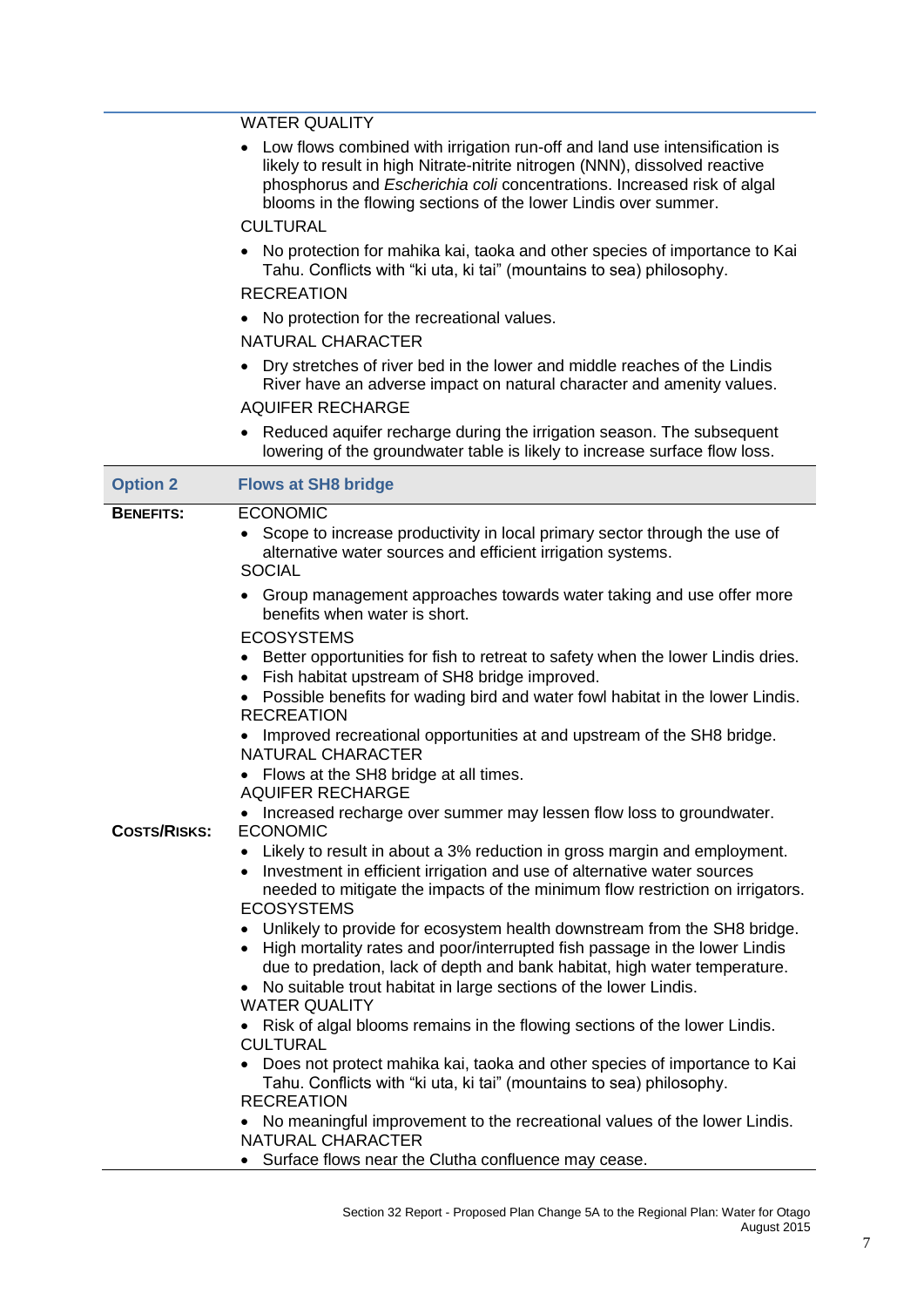|                     | <b>WATER QUALITY</b>                                                                                                                                                                                                                                                                                                            |
|---------------------|---------------------------------------------------------------------------------------------------------------------------------------------------------------------------------------------------------------------------------------------------------------------------------------------------------------------------------|
|                     | Low flows combined with irrigation run-off and land use intensification is<br>likely to result in high Nitrate-nitrite nitrogen (NNN), dissolved reactive<br>phosphorus and Escherichia coli concentrations. Increased risk of algal<br>blooms in the flowing sections of the lower Lindis over summer.<br><b>CULTURAL</b>      |
|                     | No protection for mahika kai, taoka and other species of importance to Kai<br>Tahu. Conflicts with "ki uta, ki tai" (mountains to sea) philosophy.<br><b>RECREATION</b>                                                                                                                                                         |
|                     | No protection for the recreational values.<br>$\bullet$<br><b>NATURAL CHARACTER</b>                                                                                                                                                                                                                                             |
|                     | Dry stretches of river bed in the lower and middle reaches of the Lindis<br>River have an adverse impact on natural character and amenity values.<br><b>AQUIFER RECHARGE</b>                                                                                                                                                    |
|                     | Reduced aquifer recharge during the irrigation season. The subsequent<br>lowering of the groundwater table is likely to increase surface flow loss.                                                                                                                                                                             |
| <b>Option 2</b>     | <b>Flows at SH8 bridge</b>                                                                                                                                                                                                                                                                                                      |
| <b>BENEFITS:</b>    | <b>ECONOMIC</b><br>Scope to increase productivity in local primary sector through the use of<br>$\bullet$<br>alternative water sources and efficient irrigation systems.<br><b>SOCIAL</b>                                                                                                                                       |
|                     | • Group management approaches towards water taking and use offer more<br>benefits when water is short.<br><b>ECOSYSTEMS</b>                                                                                                                                                                                                     |
|                     | Better opportunities for fish to retreat to safety when the lower Lindis dries.<br>Fish habitat upstream of SH8 bridge improved.<br>Possible benefits for wading bird and water fowl habitat in the lower Lindis.                                                                                                               |
|                     | <b>RECREATION</b><br>Improved recreational opportunities at and upstream of the SH8 bridge.<br>NATURAL CHARACTER<br>Flows at the SH8 bridge at all times.                                                                                                                                                                       |
|                     | <b>AQUIFER RECHARGE</b><br>Increased recharge over summer may lessen flow loss to groundwater.                                                                                                                                                                                                                                  |
| <b>COSTS/RISKS:</b> | <b>ECONOMIC</b><br>Likely to result in about a 3% reduction in gross margin and employment.<br>Investment in efficient irrigation and use of alternative water sources<br>$\bullet$<br>needed to mitigate the impacts of the minimum flow restriction on irrigators.<br><b>ECOSYSTEMS</b>                                       |
|                     | Unlikely to provide for ecosystem health downstream from the SH8 bridge.<br>High mortality rates and poor/interrupted fish passage in the lower Lindis<br>due to predation, lack of depth and bank habitat, high water temperature.<br>No suitable trout habitat in large sections of the lower Lindis.<br><b>WATER QUALITY</b> |
|                     | Risk of algal blooms remains in the flowing sections of the lower Lindis.<br><b>CULTURAL</b>                                                                                                                                                                                                                                    |
|                     | Does not protect mahika kai, taoka and other species of importance to Kai<br>Tahu. Conflicts with "ki uta, ki tai" (mountains to sea) philosophy.<br><b>RECREATION</b>                                                                                                                                                          |
|                     | No meaningful improvement to the recreational values of the lower Lindis.<br><b>NATURAL CHARACTER</b><br>Surface flows near the Clutha confluence may cease.                                                                                                                                                                    |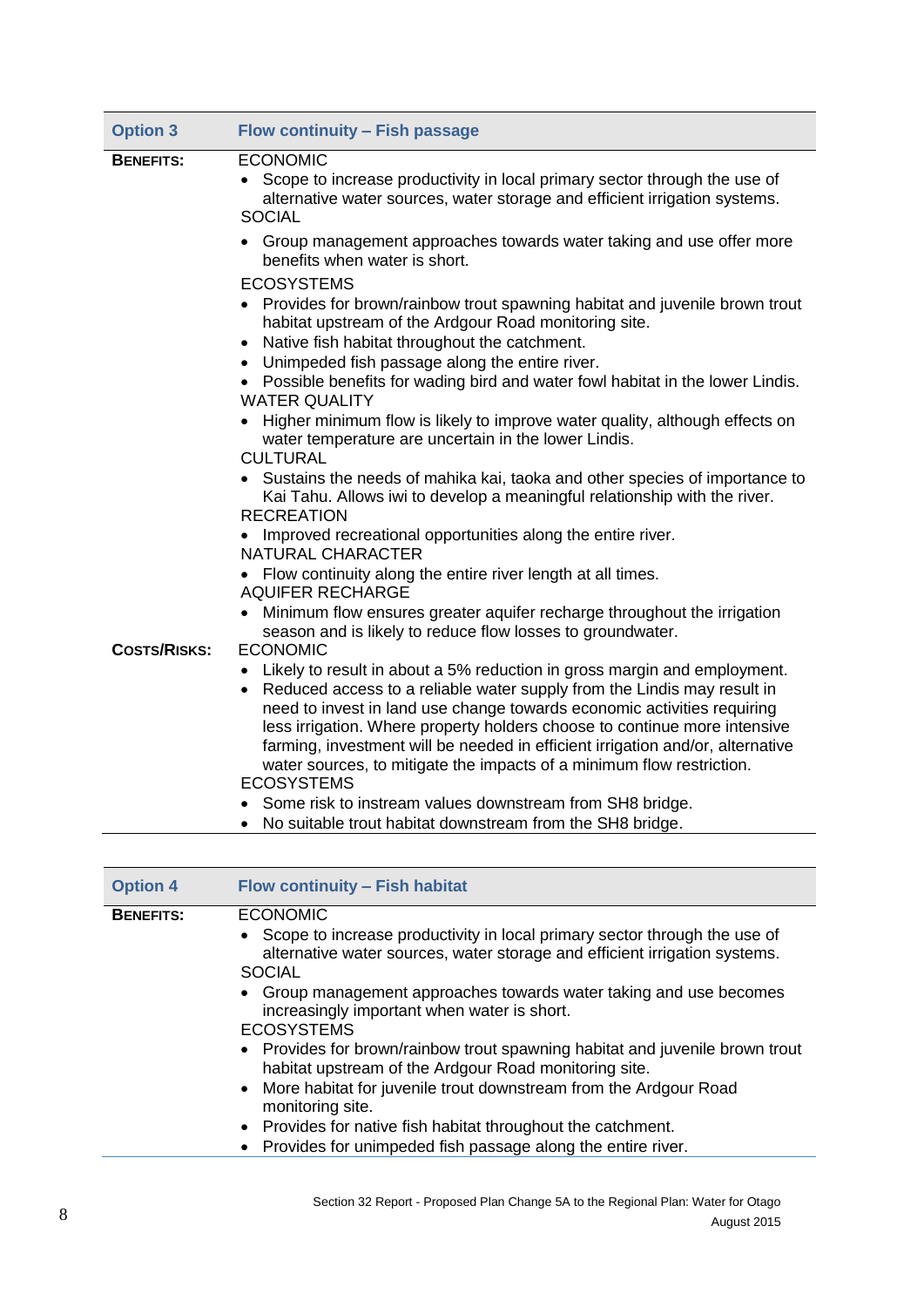| <b>Option 3</b>     | Flow continuity - Fish passage                                                                                                                                                                                                                                                                                                                                                                                                                                                                   |
|---------------------|--------------------------------------------------------------------------------------------------------------------------------------------------------------------------------------------------------------------------------------------------------------------------------------------------------------------------------------------------------------------------------------------------------------------------------------------------------------------------------------------------|
| <b>BENEFITS:</b>    | <b>ECONOMIC</b><br>Scope to increase productivity in local primary sector through the use of<br>alternative water sources, water storage and efficient irrigation systems.<br><b>SOCIAL</b>                                                                                                                                                                                                                                                                                                      |
|                     | • Group management approaches towards water taking and use offer more<br>benefits when water is short.                                                                                                                                                                                                                                                                                                                                                                                           |
|                     | <b>ECOSYSTEMS</b><br>Provides for brown/rainbow trout spawning habitat and juvenile brown trout<br>$\bullet$<br>habitat upstream of the Ardgour Road monitoring site.<br>Native fish habitat throughout the catchment.<br>$\bullet$                                                                                                                                                                                                                                                              |
|                     | Unimpeded fish passage along the entire river.<br>$\bullet$<br>Possible benefits for wading bird and water fowl habitat in the lower Lindis.<br><b>WATER QUALITY</b>                                                                                                                                                                                                                                                                                                                             |
|                     | • Higher minimum flow is likely to improve water quality, although effects on<br>water temperature are uncertain in the lower Lindis.<br><b>CULTURAL</b>                                                                                                                                                                                                                                                                                                                                         |
|                     | • Sustains the needs of mahika kai, taoka and other species of importance to<br>Kai Tahu. Allows iwi to develop a meaningful relationship with the river.<br><b>RECREATION</b>                                                                                                                                                                                                                                                                                                                   |
|                     | • Improved recreational opportunities along the entire river.<br><b>NATURAL CHARACTER</b>                                                                                                                                                                                                                                                                                                                                                                                                        |
|                     | • Flow continuity along the entire river length at all times.<br><b>AQUIFER RECHARGE</b>                                                                                                                                                                                                                                                                                                                                                                                                         |
| <b>COSTS/RISKS:</b> | Minimum flow ensures greater aquifer recharge throughout the irrigation<br>season and is likely to reduce flow losses to groundwater.<br><b>ECONOMIC</b>                                                                                                                                                                                                                                                                                                                                         |
|                     | Likely to result in about a 5% reduction in gross margin and employment.<br>Reduced access to a reliable water supply from the Lindis may result in<br>٠<br>need to invest in land use change towards economic activities requiring<br>less irrigation. Where property holders choose to continue more intensive<br>farming, investment will be needed in efficient irrigation and/or, alternative<br>water sources, to mitigate the impacts of a minimum flow restriction.<br><b>ECOSYSTEMS</b> |
|                     | Some risk to instream values downstream from SH8 bridge.                                                                                                                                                                                                                                                                                                                                                                                                                                         |

• No suitable trout habitat downstream from the SH8 bridge.

| <b>Option 4</b>  | Flow continuity - Fish habitat                                                                                                                                                                                                                                                                                                                                                                                                                                                   |
|------------------|----------------------------------------------------------------------------------------------------------------------------------------------------------------------------------------------------------------------------------------------------------------------------------------------------------------------------------------------------------------------------------------------------------------------------------------------------------------------------------|
| <b>BENEFITS:</b> | <b>ECONOMIC</b><br>• Scope to increase productivity in local primary sector through the use of<br>alternative water sources, water storage and efficient irrigation systems.<br><b>SOCIAL</b><br>• Group management approaches towards water taking and use becomes<br>increasingly important when water is short.<br><b>ECOSYSTEMS</b><br>• Provides for brown/rainbow trout spawning habitat and juvenile brown trout<br>habitat upstream of the Ardgour Road monitoring site. |
|                  | • More habitat for juvenile trout downstream from the Ardgour Road<br>monitoring site.<br>• Provides for native fish habitat throughout the catchment.<br>• Provides for unimpeded fish passage along the entire river.                                                                                                                                                                                                                                                          |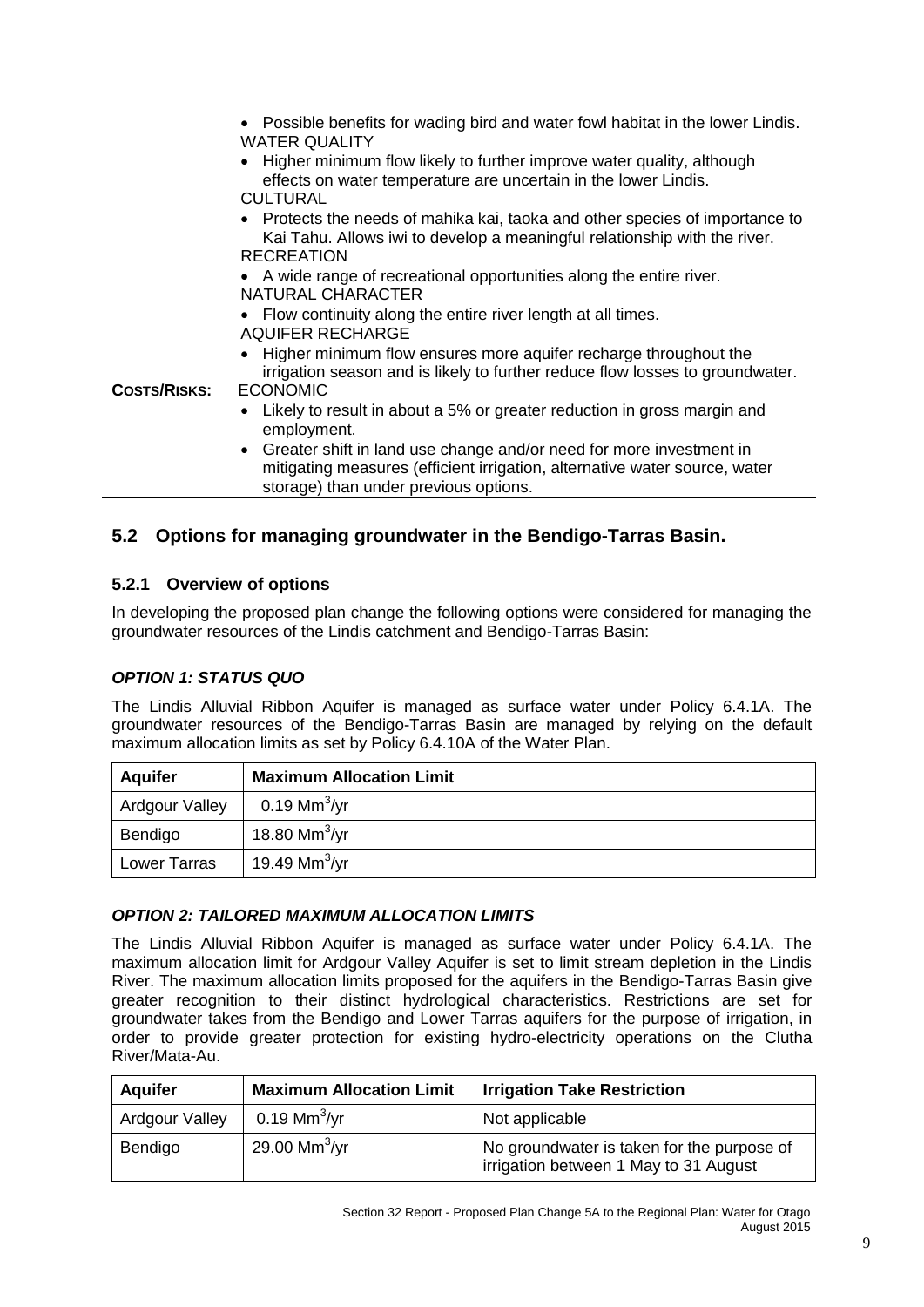|                     | Possible benefits for wading bird and water fowl habitat in the lower Lindis.<br>$\bullet$<br><b>WATER QUALITY</b>                                                                           |
|---------------------|----------------------------------------------------------------------------------------------------------------------------------------------------------------------------------------------|
|                     | Higher minimum flow likely to further improve water quality, although                                                                                                                        |
|                     | effects on water temperature are uncertain in the lower Lindis.<br><b>CULTURAL</b>                                                                                                           |
|                     | • Protects the needs of mahika kai, taoka and other species of importance to<br>Kai Tahu. Allows iwi to develop a meaningful relationship with the river.<br><b>RECREATION</b>               |
|                     | • A wide range of recreational opportunities along the entire river.<br>NATURAL CHARACTER                                                                                                    |
|                     | • Flow continuity along the entire river length at all times.<br><b>AQUIFER RECHARGE</b>                                                                                                     |
| <b>COSTS/RISKS:</b> | • Higher minimum flow ensures more aquifer recharge throughout the<br>irrigation season and is likely to further reduce flow losses to groundwater.<br><b>ECONOMIC</b>                       |
|                     | Likely to result in about a 5% or greater reduction in gross margin and<br>employment.                                                                                                       |
|                     | • Greater shift in land use change and/or need for more investment in<br>mitigating measures (efficient irrigation, alternative water source, water<br>storage) than under previous options. |

#### <span id="page-12-0"></span>**5.2 Options for managing groundwater in the Bendigo-Tarras Basin.**

#### <span id="page-12-1"></span>**5.2.1 Overview of options**

In developing the proposed plan change the following options were considered for managing the groundwater resources of the Lindis catchment and Bendigo-Tarras Basin:

#### *OPTION 1: STATUS QUO*

The Lindis Alluvial Ribbon Aquifer is managed as surface water under Policy 6.4.1A. The groundwater resources of the Bendigo-Tarras Basin are managed by relying on the default maximum allocation limits as set by Policy 6.4.10A of the Water Plan.

| <b>Aquifer</b>      | <b>Maximum Allocation Limit</b> |
|---------------------|---------------------------------|
| Ardgour Valley      | 0.19 Mm <sup>3</sup> /yr        |
| Bendigo             | 18.80 Mm <sup>3</sup> /yr       |
| <b>Lower Tarras</b> | 19.49 Mm <sup>3</sup> /yr       |

#### *OPTION 2: TAILORED MAXIMUM ALLOCATION LIMITS*

The Lindis Alluvial Ribbon Aquifer is managed as surface water under Policy 6.4.1A. The maximum allocation limit for Ardgour Valley Aquifer is set to limit stream depletion in the Lindis River. The maximum allocation limits proposed for the aquifers in the Bendigo-Tarras Basin give greater recognition to their distinct hydrological characteristics. Restrictions are set for groundwater takes from the Bendigo and Lower Tarras aquifers for the purpose of irrigation, in order to provide greater protection for existing hydro-electricity operations on the Clutha River/Mata-Au.

| <b>Aquifer</b>        | <b>Maximum Allocation Limit</b> | <b>Irrigation Take Restriction</b>                                                  |  |  |
|-----------------------|---------------------------------|-------------------------------------------------------------------------------------|--|--|
| <b>Ardgour Valley</b> | 0.19 Mm <sup>3</sup> /yr        | Not applicable                                                                      |  |  |
| Bendigo               | 29.00 Mm <sup>3</sup> /yr       | No groundwater is taken for the purpose of<br>irrigation between 1 May to 31 August |  |  |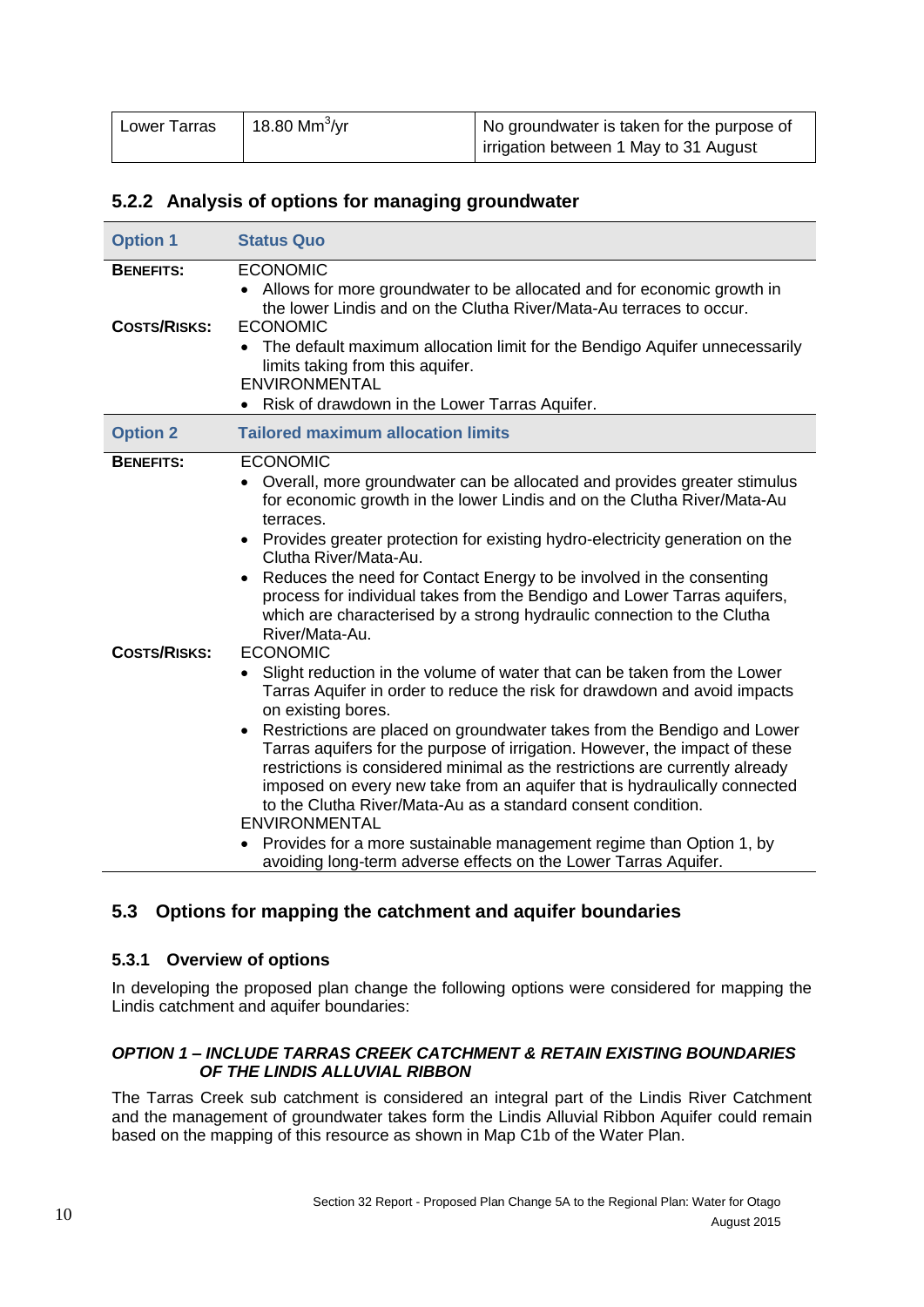| Lower Tarras | 18.80 $\text{Mm}^3/\text{yr}$ | No groundwater is taken for the purpose of |
|--------------|-------------------------------|--------------------------------------------|
|              |                               | irrigation between 1 May to 31 August      |

#### <span id="page-13-0"></span>**5.2.2 Analysis of options for managing groundwater**

| <b>Option 1</b>                         | <b>Status Quo</b>                                                                                                                                                                                                                                                                                                                                                                                                                                                                                                                                                                                                                                                                                                                                                 |
|-----------------------------------------|-------------------------------------------------------------------------------------------------------------------------------------------------------------------------------------------------------------------------------------------------------------------------------------------------------------------------------------------------------------------------------------------------------------------------------------------------------------------------------------------------------------------------------------------------------------------------------------------------------------------------------------------------------------------------------------------------------------------------------------------------------------------|
| <b>BENEFITS:</b>                        | <b>ECONOMIC</b><br>• Allows for more groundwater to be allocated and for economic growth in<br>the lower Lindis and on the Clutha River/Mata-Au terraces to occur.                                                                                                                                                                                                                                                                                                                                                                                                                                                                                                                                                                                                |
| COSTS/RISKS:                            | <b>ECONOMIC</b><br>The default maximum allocation limit for the Bendigo Aquifer unnecessarily<br>$\bullet$<br>limits taking from this aquifer.<br><b>ENVIRONMENTAL</b><br>Risk of drawdown in the Lower Tarras Aquifer.                                                                                                                                                                                                                                                                                                                                                                                                                                                                                                                                           |
| <b>Option 2</b>                         | <b>Tailored maximum allocation limits</b>                                                                                                                                                                                                                                                                                                                                                                                                                                                                                                                                                                                                                                                                                                                         |
| <b>BENEFITS:</b><br><b>COSTS/RISKS:</b> | <b>ECONOMIC</b><br>• Overall, more groundwater can be allocated and provides greater stimulus<br>for economic growth in the lower Lindis and on the Clutha River/Mata-Au<br>terraces.<br>Provides greater protection for existing hydro-electricity generation on the<br>$\bullet$<br>Clutha River/Mata-Au.<br>Reduces the need for Contact Energy to be involved in the consenting<br>$\bullet$<br>process for individual takes from the Bendigo and Lower Tarras aquifers,<br>which are characterised by a strong hydraulic connection to the Clutha<br>River/Mata-Au.<br><b>ECONOMIC</b><br>Slight reduction in the volume of water that can be taken from the Lower<br>$\bullet$<br>Tarras Aquifer in order to reduce the risk for drawdown and avoid impacts |
|                                         | on existing bores.<br>Restrictions are placed on groundwater takes from the Bendigo and Lower<br>$\bullet$<br>Tarras aquifers for the purpose of irrigation. However, the impact of these<br>restrictions is considered minimal as the restrictions are currently already<br>imposed on every new take from an aquifer that is hydraulically connected<br>to the Clutha River/Mata-Au as a standard consent condition.<br><b>ENVIRONMENTAL</b><br>Provides for a more sustainable management regime than Option 1, by<br>avoiding long-term adverse effects on the Lower Tarras Aquifer.                                                                                                                                                                          |

### <span id="page-13-1"></span>**5.3 Options for mapping the catchment and aquifer boundaries**

#### <span id="page-13-2"></span>**5.3.1 Overview of options**

In developing the proposed plan change the following options were considered for mapping the Lindis catchment and aquifer boundaries:

#### *OPTION 1 – INCLUDE TARRAS CREEK CATCHMENT & RETAIN EXISTING BOUNDARIES OF THE LINDIS ALLUVIAL RIBBON*

The Tarras Creek sub catchment is considered an integral part of the Lindis River Catchment and the management of groundwater takes form the Lindis Alluvial Ribbon Aquifer could remain based on the mapping of this resource as shown in Map C1b of the Water Plan.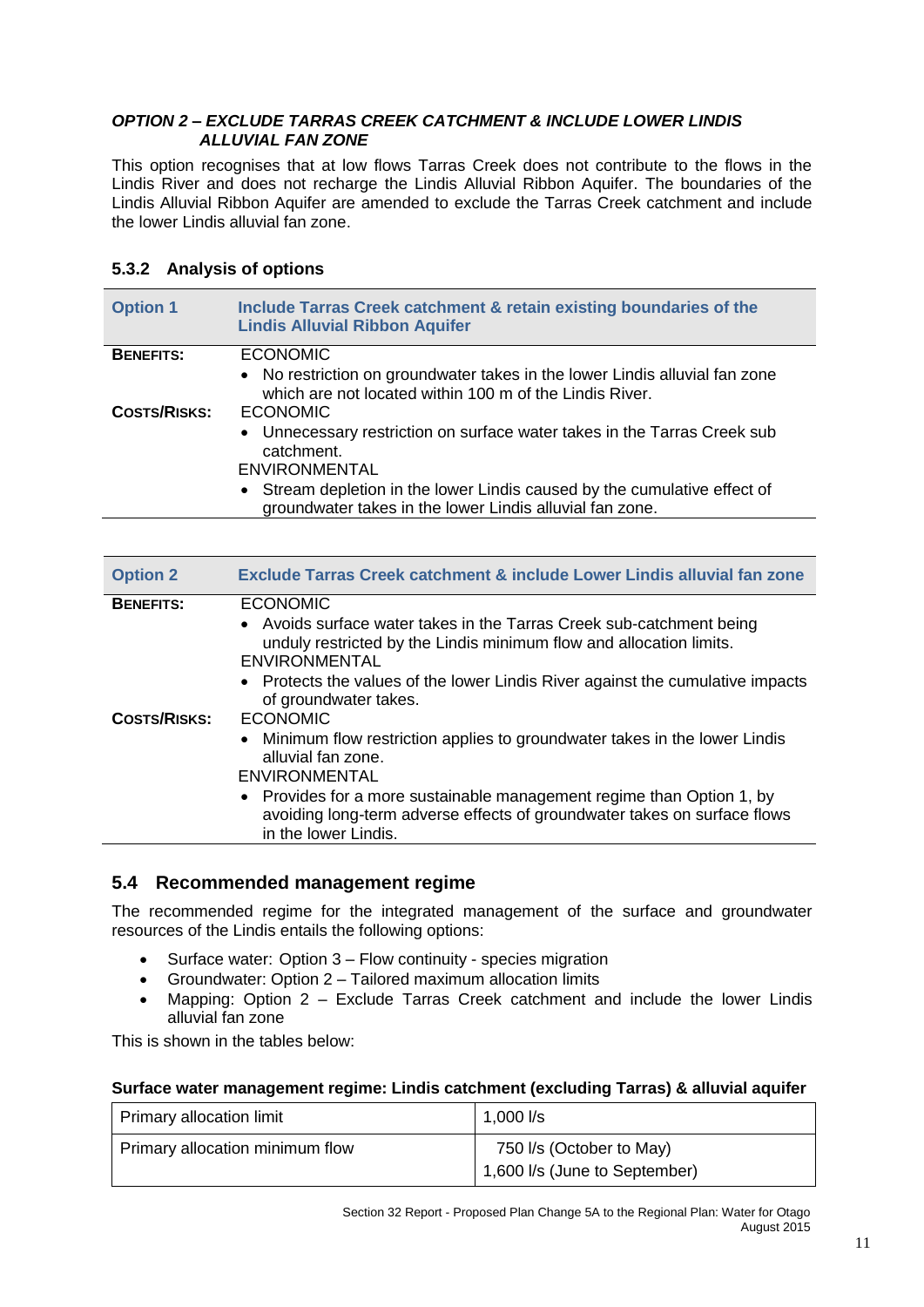#### *OPTION 2 – EXCLUDE TARRAS CREEK CATCHMENT & INCLUDE LOWER LINDIS ALLUVIAL FAN ZONE*

This option recognises that at low flows Tarras Creek does not contribute to the flows in the Lindis River and does not recharge the Lindis Alluvial Ribbon Aquifer. The boundaries of the Lindis Alluvial Ribbon Aquifer are amended to exclude the Tarras Creek catchment and include the lower Lindis alluvial fan zone.

#### <span id="page-14-0"></span>**5.3.2 Analysis of options**

| <b>Option 1</b>     | Include Tarras Creek catchment & retain existing boundaries of the<br><b>Lindis Alluvial Ribbon Aquifer</b>                            |
|---------------------|----------------------------------------------------------------------------------------------------------------------------------------|
| <b>BENEFITS:</b>    | <b>ECONOMIC</b>                                                                                                                        |
|                     | • No restriction on groundwater takes in the lower Lindis alluvial fan zone<br>which are not located within 100 m of the Lindis River. |
| <b>COSTS/RISKS:</b> | <b>ECONOMIC</b>                                                                                                                        |
|                     | • Unnecessary restriction on surface water takes in the Tarras Creek sub<br>catchment.                                                 |
|                     | <b>ENVIRONMENTAL</b>                                                                                                                   |
|                     | • Stream depletion in the lower Lindis caused by the cumulative effect of<br>groundwater takes in the lower Lindis alluvial fan zone.  |

| <b>Option 2</b>                         | Exclude Tarras Creek catchment & include Lower Lindis alluvial fan zone                                                                                                                                                                                                                                                                                                                                                                                                                                                    |
|-----------------------------------------|----------------------------------------------------------------------------------------------------------------------------------------------------------------------------------------------------------------------------------------------------------------------------------------------------------------------------------------------------------------------------------------------------------------------------------------------------------------------------------------------------------------------------|
| <b>BENEFITS:</b><br><b>COSTS/RISKS:</b> | <b>ECONOMIC</b><br>• Avoids surface water takes in the Tarras Creek sub-catchment being<br>unduly restricted by the Lindis minimum flow and allocation limits.<br><b>ENVIRONMENTAL</b><br>• Protects the values of the lower Lindis River against the cumulative impacts<br>of groundwater takes.<br><b>ECONOMIC</b><br>• Minimum flow restriction applies to groundwater takes in the lower Lindis<br>alluvial fan zone.<br><b>ENVIRONMENTAL</b><br>• Provides for a more sustainable management regime than Option 1, by |
|                                         | avoiding long-term adverse effects of groundwater takes on surface flows<br>in the lower Lindis.                                                                                                                                                                                                                                                                                                                                                                                                                           |

#### <span id="page-14-1"></span>**5.4 Recommended management regime**

The recommended regime for the integrated management of the surface and groundwater resources of the Lindis entails the following options:

- $\bullet$  Surface water: Option  $3 -$  Flow continuity species migration
- Groundwater: Option 2 Tailored maximum allocation limits
- Mapping: Option 2 Exclude Tarras Creek catchment and include the lower Lindis alluvial fan zone

This is shown in the tables below:

#### **Surface water management regime: Lindis catchment (excluding Tarras) & alluvial aquifer**

| Primary allocation limit        | 1,000 $\frac{1}{s}$                                       |  |
|---------------------------------|-----------------------------------------------------------|--|
| Primary allocation minimum flow | 750 I/s (October to May)<br>1,600 I/s (June to September) |  |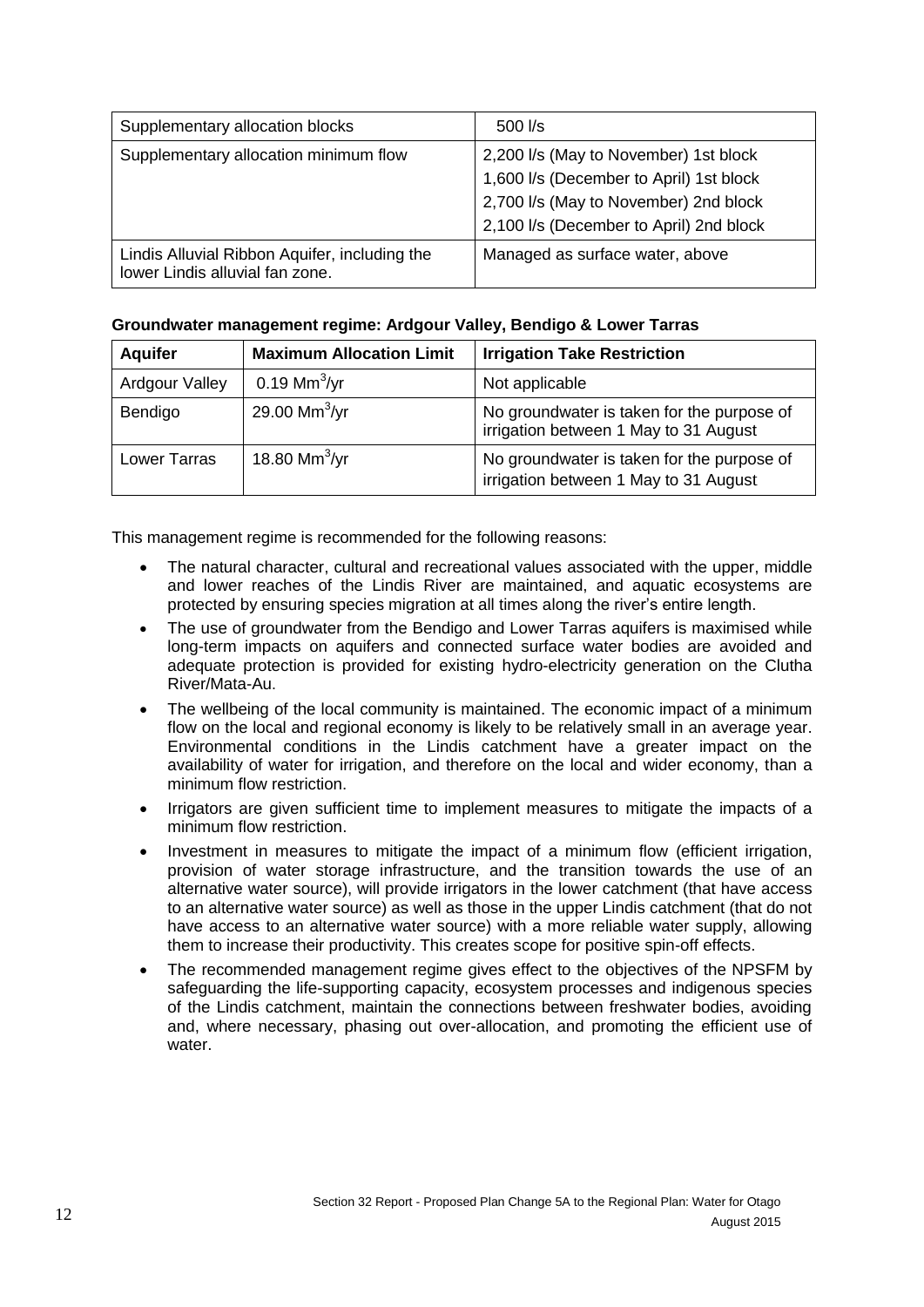| Supplementary allocation blocks                                                  | $500$ $\text{Vs}$                                                                                                                                                    |
|----------------------------------------------------------------------------------|----------------------------------------------------------------------------------------------------------------------------------------------------------------------|
| Supplementary allocation minimum flow                                            | 2,200 I/s (May to November) 1st block<br>1,600 I/s (December to April) 1st block<br>2,700 I/s (May to November) 2nd block<br>2,100 I/s (December to April) 2nd block |
| Lindis Alluvial Ribbon Aquifer, including the<br>lower Lindis alluvial fan zone. | Managed as surface water, above                                                                                                                                      |

#### **Groundwater management regime: Ardgour Valley, Bendigo & Lower Tarras**

| <b>Aquifer</b>        | <b>Maximum Allocation Limit</b> | <b>Irrigation Take Restriction</b>                                                  |
|-----------------------|---------------------------------|-------------------------------------------------------------------------------------|
| <b>Ardgour Valley</b> | $0.19$ Mm <sup>3</sup> /yr      | Not applicable                                                                      |
| Bendigo               | 29.00 Mm <sup>3</sup> /yr       | No groundwater is taken for the purpose of<br>irrigation between 1 May to 31 August |
| Lower Tarras          | 18.80 Mm $\frac{3}{yr}$         | No groundwater is taken for the purpose of<br>irrigation between 1 May to 31 August |

This management regime is recommended for the following reasons:

- The natural character, cultural and recreational values associated with the upper, middle and lower reaches of the Lindis River are maintained, and aquatic ecosystems are protected by ensuring species migration at all times along the river's entire length.
- The use of groundwater from the Bendigo and Lower Tarras aquifers is maximised while long-term impacts on aquifers and connected surface water bodies are avoided and adequate protection is provided for existing hydro-electricity generation on the Clutha River/Mata-Au.
- The wellbeing of the local community is maintained. The economic impact of a minimum flow on the local and regional economy is likely to be relatively small in an average year. Environmental conditions in the Lindis catchment have a greater impact on the availability of water for irrigation, and therefore on the local and wider economy, than a minimum flow restriction.
- Irrigators are given sufficient time to implement measures to mitigate the impacts of a minimum flow restriction.
- Investment in measures to mitigate the impact of a minimum flow (efficient irrigation, provision of water storage infrastructure, and the transition towards the use of an alternative water source), will provide irrigators in the lower catchment (that have access to an alternative water source) as well as those in the upper Lindis catchment (that do not have access to an alternative water source) with a more reliable water supply, allowing them to increase their productivity. This creates scope for positive spin-off effects.
- The recommended management regime gives effect to the objectives of the NPSFM by safeguarding the life-supporting capacity, ecosystem processes and indigenous species of the Lindis catchment, maintain the connections between freshwater bodies, avoiding and, where necessary, phasing out over-allocation, and promoting the efficient use of water.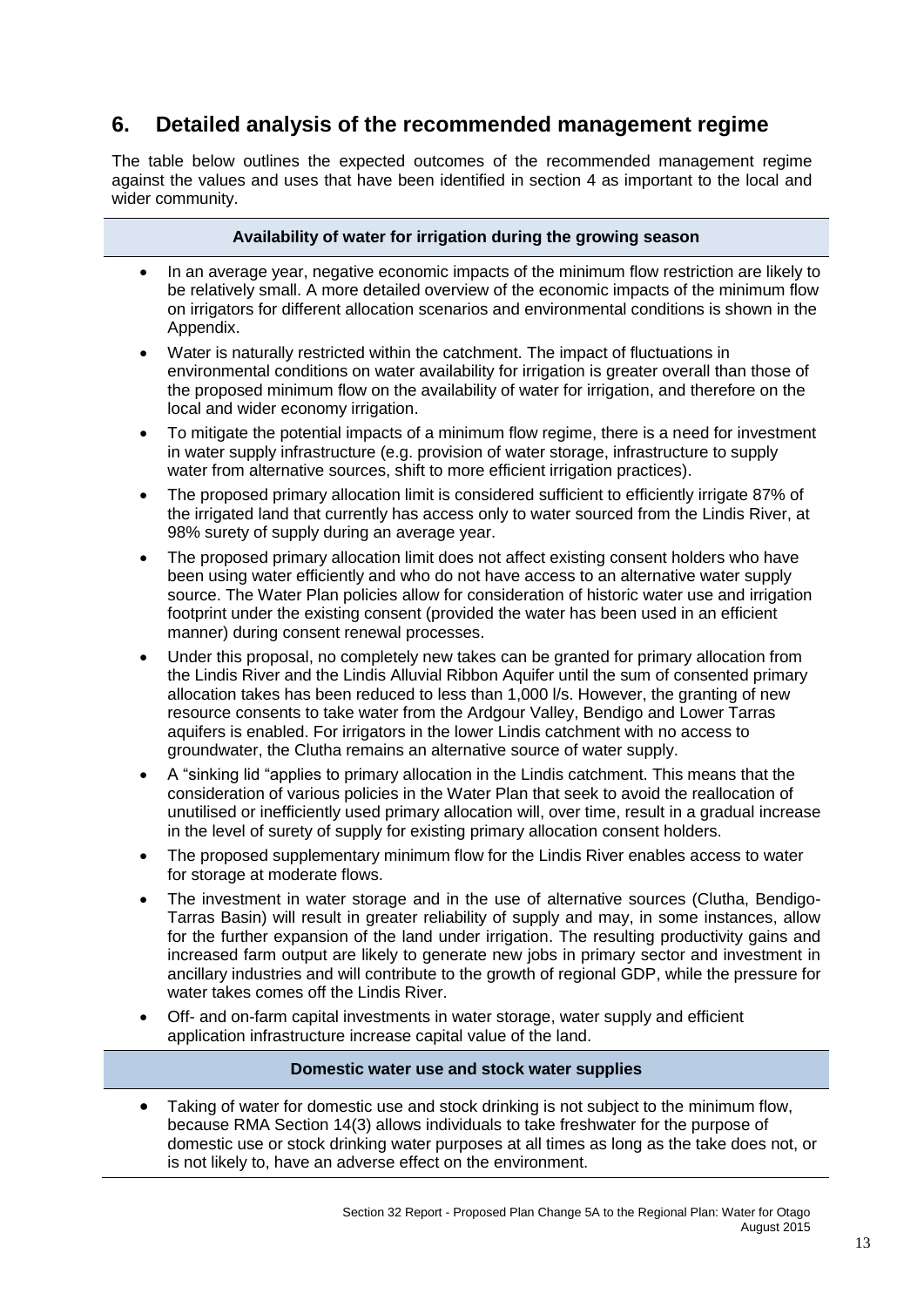## <span id="page-16-0"></span>**6. Detailed analysis of the recommended management regime**

The table below outlines the expected outcomes of the recommended management regime against the values and uses that have been identified in section 4 as important to the local and wider community.

#### **Availability of water for irrigation during the growing season**

- In an average year, negative economic impacts of the minimum flow restriction are likely to be relatively small. A more detailed overview of the economic impacts of the minimum flow on irrigators for different allocation scenarios and environmental conditions is shown in the Appendix.
- Water is naturally restricted within the catchment. The impact of fluctuations in environmental conditions on water availability for irrigation is greater overall than those of the proposed minimum flow on the availability of water for irrigation, and therefore on the local and wider economy irrigation.
- To mitigate the potential impacts of a minimum flow regime, there is a need for investment in water supply infrastructure (e.g. provision of water storage, infrastructure to supply water from alternative sources, shift to more efficient irrigation practices).
- The proposed primary allocation limit is considered sufficient to efficiently irrigate 87% of the irrigated land that currently has access only to water sourced from the Lindis River, at 98% surety of supply during an average year.
- The proposed primary allocation limit does not affect existing consent holders who have been using water efficiently and who do not have access to an alternative water supply source. The Water Plan policies allow for consideration of historic water use and irrigation footprint under the existing consent (provided the water has been used in an efficient manner) during consent renewal processes.
- Under this proposal, no completely new takes can be granted for primary allocation from the Lindis River and the Lindis Alluvial Ribbon Aquifer until the sum of consented primary allocation takes has been reduced to less than 1,000 l/s. However, the granting of new resource consents to take water from the Ardgour Valley, Bendigo and Lower Tarras aquifers is enabled. For irrigators in the lower Lindis catchment with no access to groundwater, the Clutha remains an alternative source of water supply.
- A "sinking lid "applies to primary allocation in the Lindis catchment. This means that the consideration of various policies in the Water Plan that seek to avoid the reallocation of unutilised or inefficiently used primary allocation will, over time, result in a gradual increase in the level of surety of supply for existing primary allocation consent holders.
- The proposed supplementary minimum flow for the Lindis River enables access to water for storage at moderate flows.
- The investment in water storage and in the use of alternative sources (Clutha, Bendigo-Tarras Basin) will result in greater reliability of supply and may, in some instances, allow for the further expansion of the land under irrigation. The resulting productivity gains and increased farm output are likely to generate new jobs in primary sector and investment in ancillary industries and will contribute to the growth of regional GDP, while the pressure for water takes comes off the Lindis River.
- Off- and on-farm capital investments in water storage, water supply and efficient application infrastructure increase capital value of the land.

#### **Domestic water use and stock water supplies**

 Taking of water for domestic use and stock drinking is not subject to the minimum flow, because RMA Section 14(3) allows individuals to take freshwater for the purpose of domestic use or stock drinking water purposes at all times as long as the take does not, or is not likely to, have an adverse effect on the environment.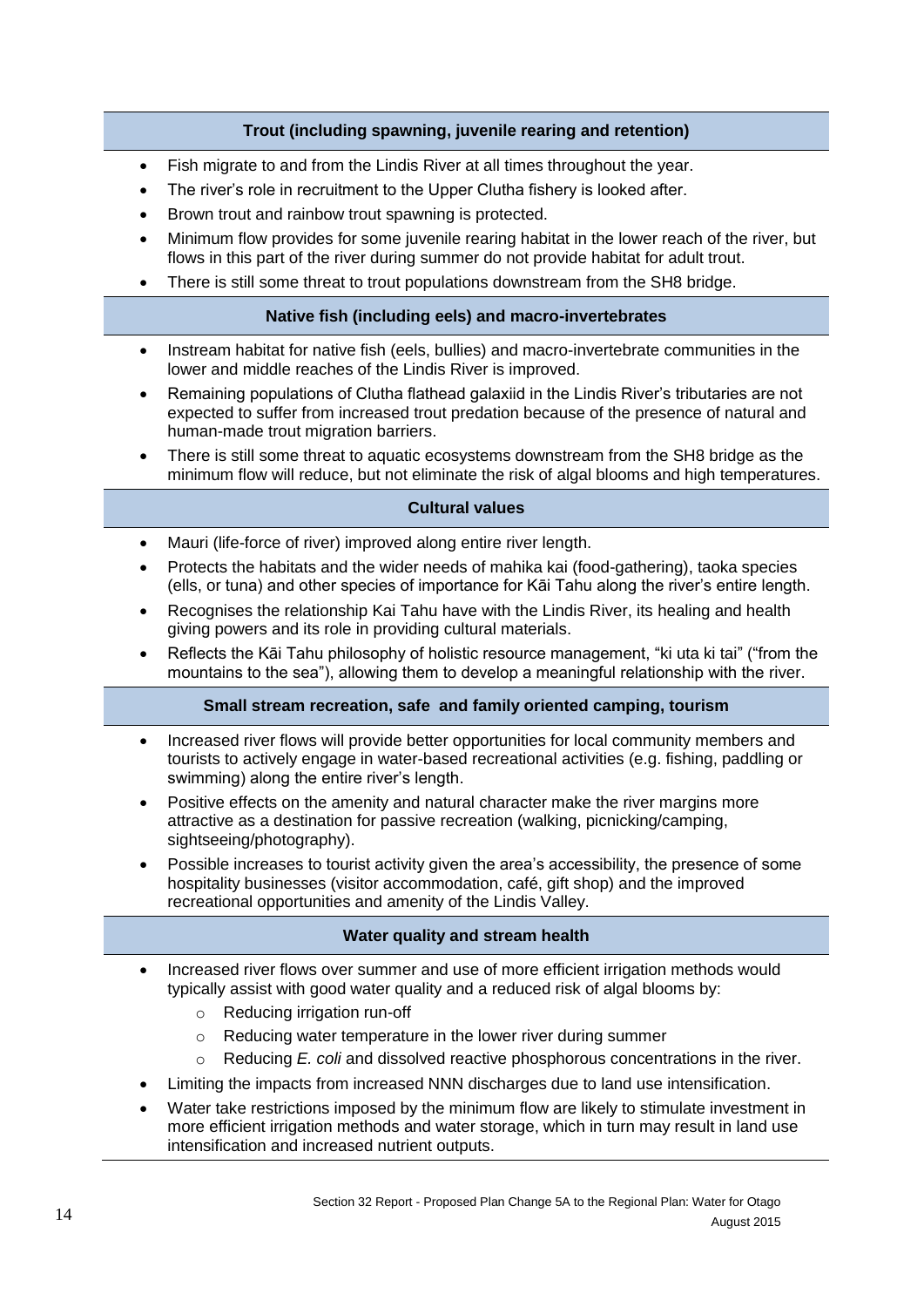#### **Trout (including spawning, juvenile rearing and retention)**

- Fish migrate to and from the Lindis River at all times throughout the year.
- The river's role in recruitment to the Upper Clutha fishery is looked after.
- Brown trout and rainbow trout spawning is protected.
- Minimum flow provides for some juvenile rearing habitat in the lower reach of the river, but flows in this part of the river during summer do not provide habitat for adult trout.
- There is still some threat to trout populations downstream from the SH8 bridge.

#### **Native fish (including eels) and macro-invertebrates**

- Instream habitat for native fish (eels, bullies) and macro-invertebrate communities in the lower and middle reaches of the Lindis River is improved.
- Remaining populations of Clutha flathead galaxiid in the Lindis River's tributaries are not expected to suffer from increased trout predation because of the presence of natural and human-made trout migration barriers.
- There is still some threat to aquatic ecosystems downstream from the SH8 bridge as the minimum flow will reduce, but not eliminate the risk of algal blooms and high temperatures.

#### **Cultural values**

- Mauri (life-force of river) improved along entire river length.
- Protects the habitats and the wider needs of mahika kai (food-gathering), taoka species (ells, or tuna) and other species of importance for Kāi Tahu along the river's entire length.
- Recognises the relationship Kai Tahu have with the Lindis River, its healing and health giving powers and its role in providing cultural materials.
- Reflects the Kai Tahu philosophy of holistic resource management, "ki uta ki tai" ("from the mountains to the sea"), allowing them to develop a meaningful relationship with the river.

#### **Small stream recreation, safe and family oriented camping, tourism**

- Increased river flows will provide better opportunities for local community members and tourists to actively engage in water-based recreational activities (e.g. fishing, paddling or swimming) along the entire river's length.
- Positive effects on the amenity and natural character make the river margins more attractive as a destination for passive recreation (walking, picnicking/camping, sightseeing/photography).
- Possible increases to tourist activity given the area's accessibility, the presence of some hospitality businesses (visitor accommodation, café, gift shop) and the improved recreational opportunities and amenity of the Lindis Valley.

#### **Water quality and stream health**

- Increased river flows over summer and use of more efficient irrigation methods would typically assist with good water quality and a reduced risk of algal blooms by:
	- o Reducing irrigation run-off
	- o Reducing water temperature in the lower river during summer
	- o Reducing *E. coli* and dissolved reactive phosphorous concentrations in the river.
- Limiting the impacts from increased NNN discharges due to land use intensification.
- Water take restrictions imposed by the minimum flow are likely to stimulate investment in more efficient irrigation methods and water storage, which in turn may result in land use intensification and increased nutrient outputs.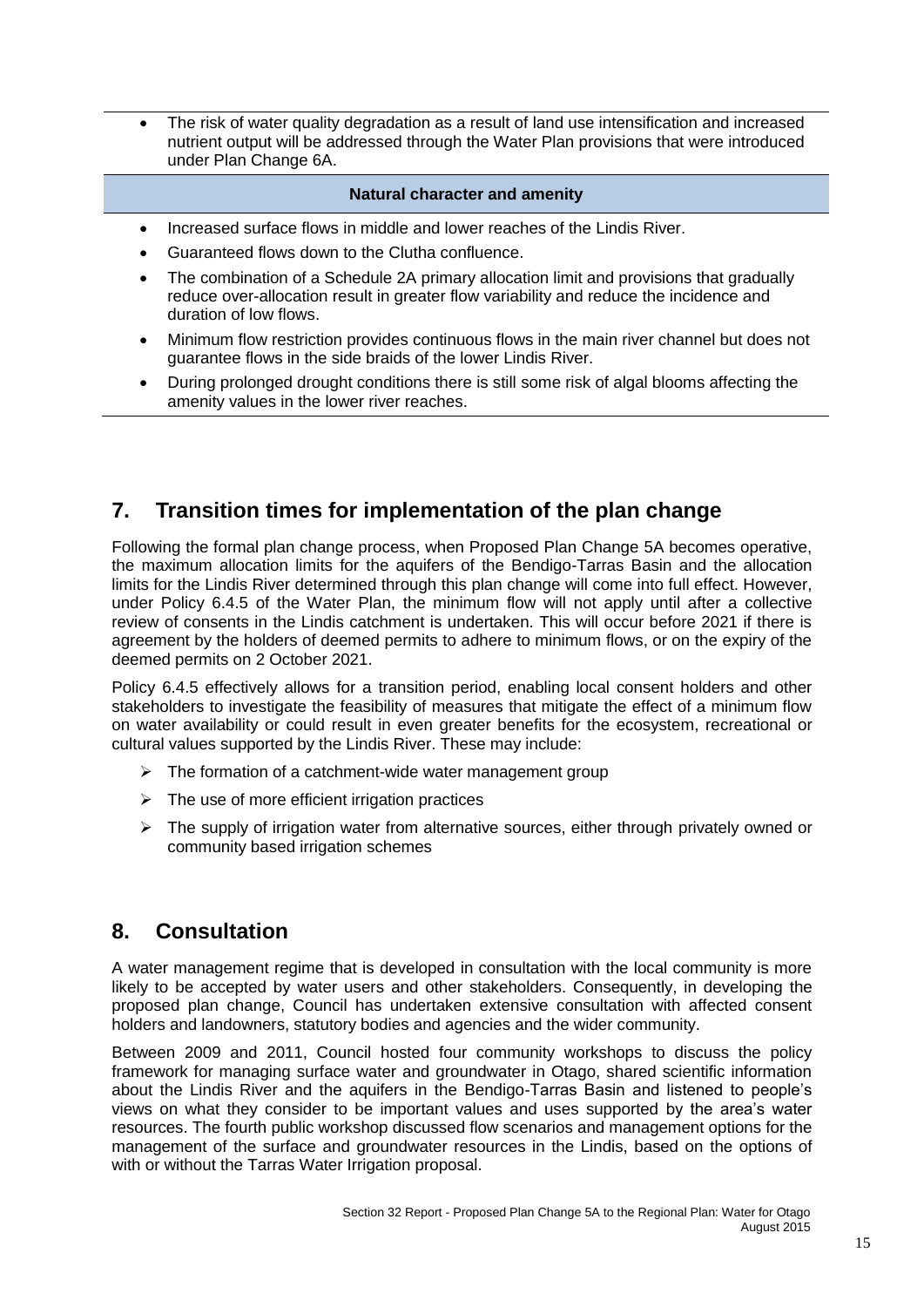The risk of water quality degradation as a result of land use intensification and increased nutrient output will be addressed through the Water Plan provisions that were introduced under Plan Change 6A.

#### **Natural character and amenity**

- Increased surface flows in middle and lower reaches of the Lindis River.
- Guaranteed flows down to the Clutha confluence.
- The combination of a Schedule 2A primary allocation limit and provisions that gradually reduce over-allocation result in greater flow variability and reduce the incidence and duration of low flows.
- Minimum flow restriction provides continuous flows in the main river channel but does not guarantee flows in the side braids of the lower Lindis River.
- During prolonged drought conditions there is still some risk of algal blooms affecting the amenity values in the lower river reaches.

## <span id="page-18-0"></span>**7. Transition times for implementation of the plan change**

Following the formal plan change process, when Proposed Plan Change 5A becomes operative, the maximum allocation limits for the aquifers of the Bendigo-Tarras Basin and the allocation limits for the Lindis River determined through this plan change will come into full effect. However, under Policy 6.4.5 of the Water Plan, the minimum flow will not apply until after a collective review of consents in the Lindis catchment is undertaken. This will occur before 2021 if there is agreement by the holders of deemed permits to adhere to minimum flows, or on the expiry of the deemed permits on 2 October 2021.

Policy 6.4.5 effectively allows for a transition period, enabling local consent holders and other stakeholders to investigate the feasibility of measures that mitigate the effect of a minimum flow on water availability or could result in even greater benefits for the ecosystem, recreational or cultural values supported by the Lindis River. These may include:

- $\triangleright$  The formation of a catchment-wide water management group
- $\triangleright$  The use of more efficient irrigation practices
- $\triangleright$  The supply of irrigation water from alternative sources, either through privately owned or community based irrigation schemes

## <span id="page-18-1"></span>**8. Consultation**

A water management regime that is developed in consultation with the local community is more likely to be accepted by water users and other stakeholders. Consequently, in developing the proposed plan change, Council has undertaken extensive consultation with affected consent holders and landowners, statutory bodies and agencies and the wider community.

Between 2009 and 2011, Council hosted four community workshops to discuss the policy framework for managing surface water and groundwater in Otago, shared scientific information about the Lindis River and the aquifers in the Bendigo-Tarras Basin and listened to people's views on what they consider to be important values and uses supported by the area's water resources. The fourth public workshop discussed flow scenarios and management options for the management of the surface and groundwater resources in the Lindis, based on the options of with or without the Tarras Water Irrigation proposal.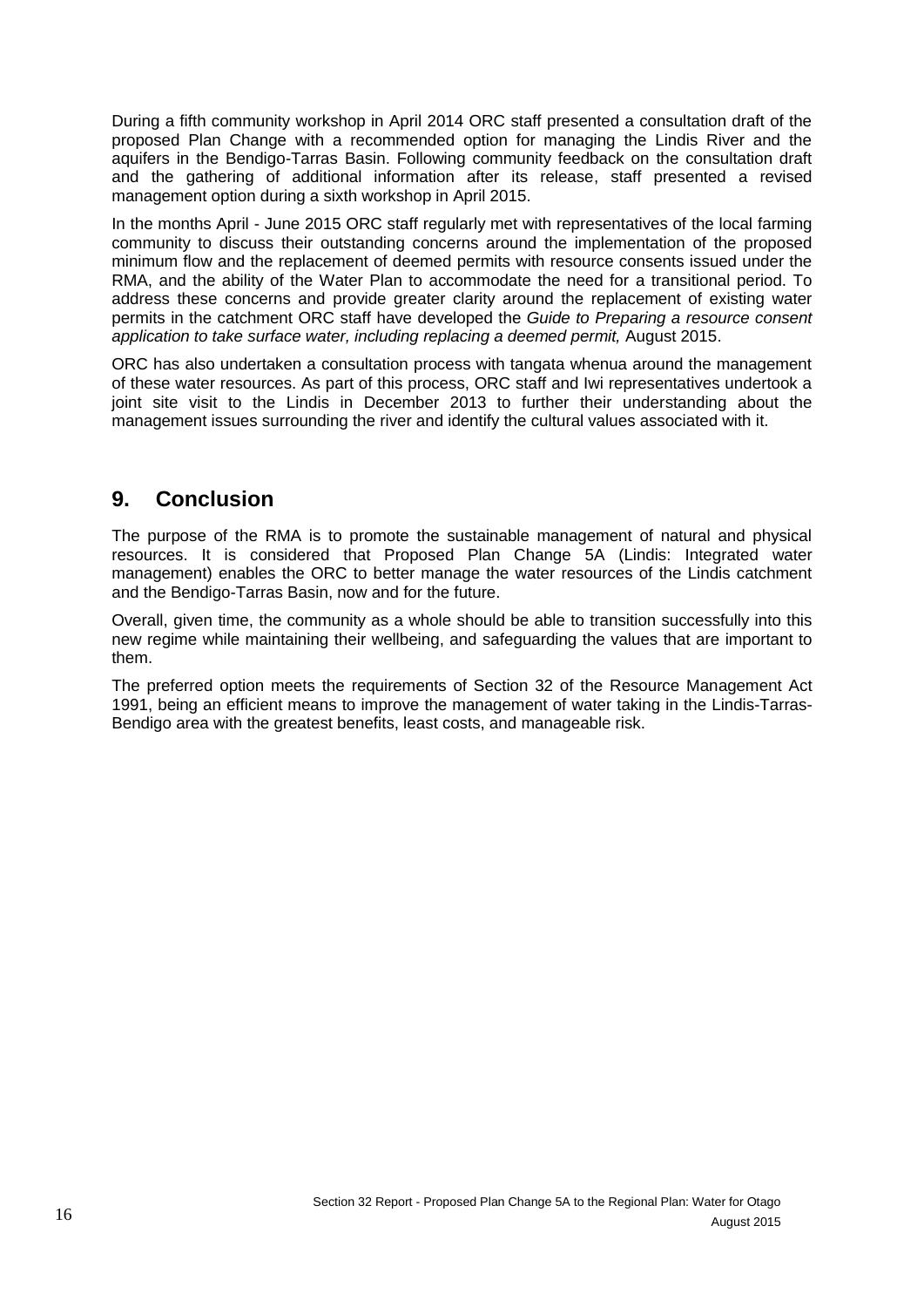During a fifth community workshop in April 2014 ORC staff presented a consultation draft of the proposed Plan Change with a recommended option for managing the Lindis River and the aquifers in the Bendigo-Tarras Basin. Following community feedback on the consultation draft and the gathering of additional information after its release, staff presented a revised management option during a sixth workshop in April 2015.

In the months April - June 2015 ORC staff regularly met with representatives of the local farming community to discuss their outstanding concerns around the implementation of the proposed minimum flow and the replacement of deemed permits with resource consents issued under the RMA, and the ability of the Water Plan to accommodate the need for a transitional period. To address these concerns and provide greater clarity around the replacement of existing water permits in the catchment ORC staff have developed the *Guide to Preparing a resource consent application to take surface water, including replacing a deemed permit,* August 2015.

ORC has also undertaken a consultation process with tangata whenua around the management of these water resources. As part of this process, ORC staff and Iwi representatives undertook a joint site visit to the Lindis in December 2013 to further their understanding about the management issues surrounding the river and identify the cultural values associated with it.

## <span id="page-19-0"></span>**9. Conclusion**

The purpose of the RMA is to promote the sustainable management of natural and physical resources. It is considered that Proposed Plan Change 5A (Lindis: Integrated water management) enables the ORC to better manage the water resources of the Lindis catchment and the Bendigo-Tarras Basin, now and for the future.

Overall, given time, the community as a whole should be able to transition successfully into this new regime while maintaining their wellbeing, and safeguarding the values that are important to them.

The preferred option meets the requirements of Section 32 of the Resource Management Act 1991, being an efficient means to improve the management of water taking in the Lindis-Tarras-Bendigo area with the greatest benefits, least costs, and manageable risk.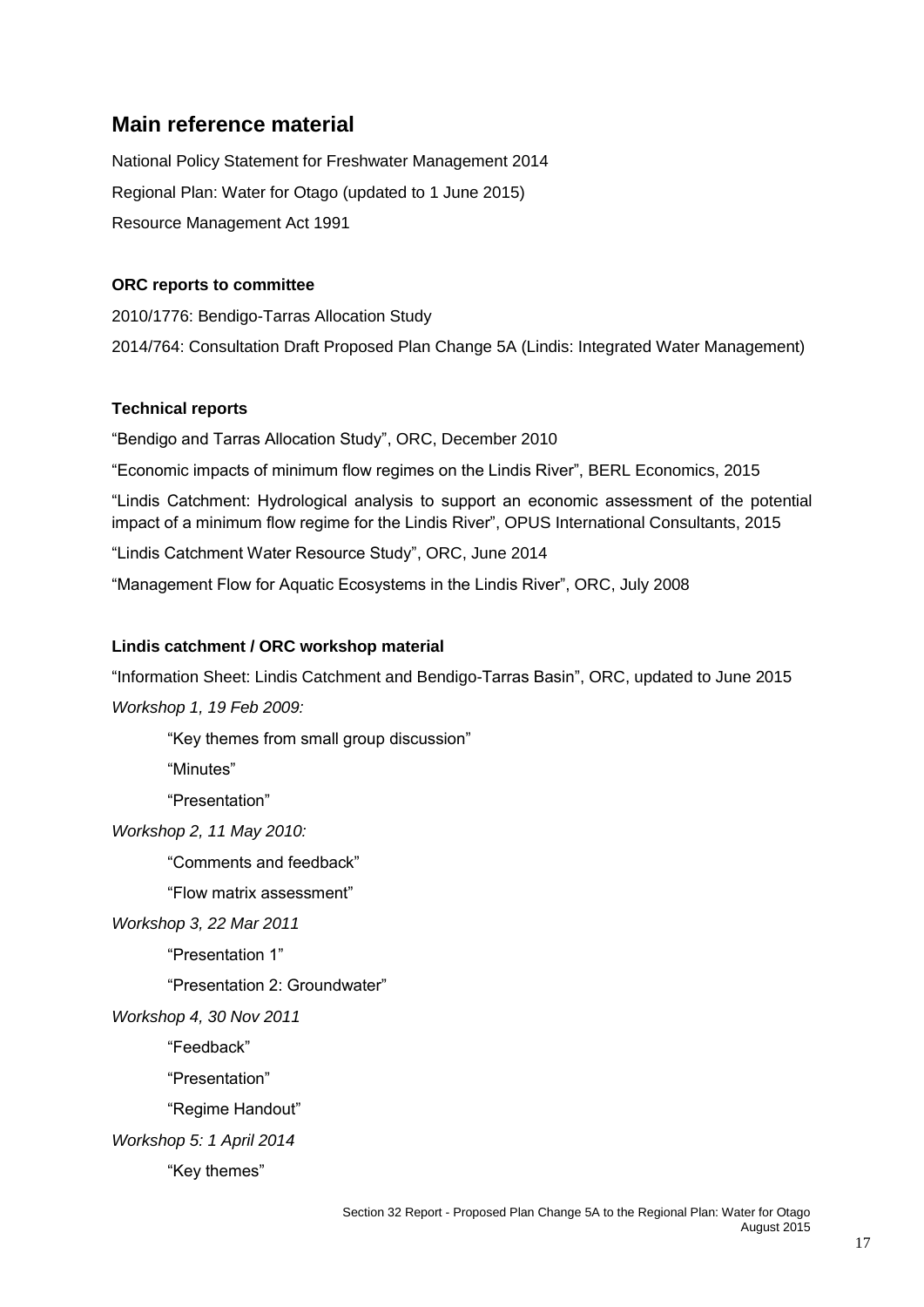## <span id="page-20-0"></span>**Main reference material**

National Policy Statement for Freshwater Management 2014 Regional Plan: Water for Otago (updated to 1 June 2015) Resource Management Act 1991

#### **ORC reports to committee**

2010/1776: Bendigo-Tarras Allocation Study 2014/764: Consultation Draft Proposed Plan Change 5A (Lindis: Integrated Water Management)

#### **Technical reports**

"Bendigo and Tarras Allocation Study", ORC, December 2010

"Economic impacts of minimum flow regimes on the Lindis River", BERL Economics, 2015

"Lindis Catchment: Hydrological analysis to support an economic assessment of the potential impact of a minimum flow regime for the Lindis River", OPUS International Consultants, 2015

"Lindis Catchment Water Resource Study", ORC, June 2014

"Management Flow for Aquatic Ecosystems in the Lindis River", ORC, July 2008

#### **Lindis catchment / ORC workshop material**

"Information Sheet: Lindis Catchment and Bendigo-Tarras Basin", ORC, updated to June 2015 *Workshop 1, 19 Feb 2009:*

"Key themes from small group discussion"

"Minutes"

"Presentation"

*Workshop 2, 11 May 2010:*

"Comments and feedback"

"Flow matrix assessment"

*Workshop 3, 22 Mar 2011*

"Presentation 1"

"Presentation 2: Groundwater"

*Workshop 4, 30 Nov 2011*

"Feedback"

"Presentation"

"Regime Handout"

*Workshop 5: 1 April 2014*

"Key themes"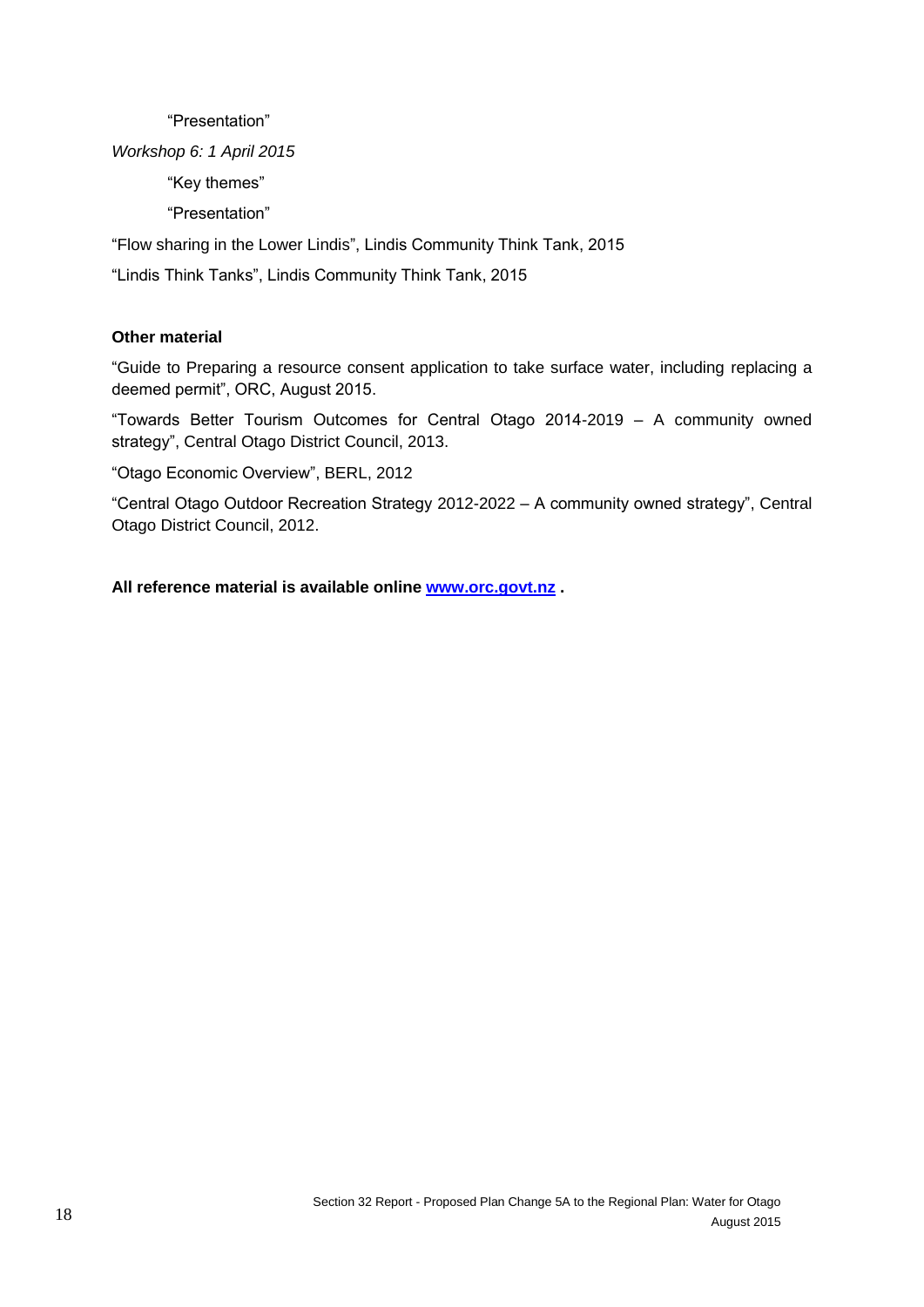"Presentation" *Workshop 6: 1 April 2015* "Key themes"

"Presentation"

"Flow sharing in the Lower Lindis", Lindis Community Think Tank, 2015

"Lindis Think Tanks", Lindis Community Think Tank, 2015

#### **Other material**

"Guide to Preparing a resource consent application to take surface water, including replacing a deemed permit", ORC, August 2015.

"Towards Better Tourism Outcomes for Central Otago 2014-2019 – A community owned strategy", Central Otago District Council, 2013.

"Otago Economic Overview", BERL, 2012

"Central Otago Outdoor Recreation Strategy 2012-2022 – A community owned strategy", Central Otago District Council, 2012.

**All reference material is available online [www.orc.govt.nz](http://www.orc.govt.nz/) .**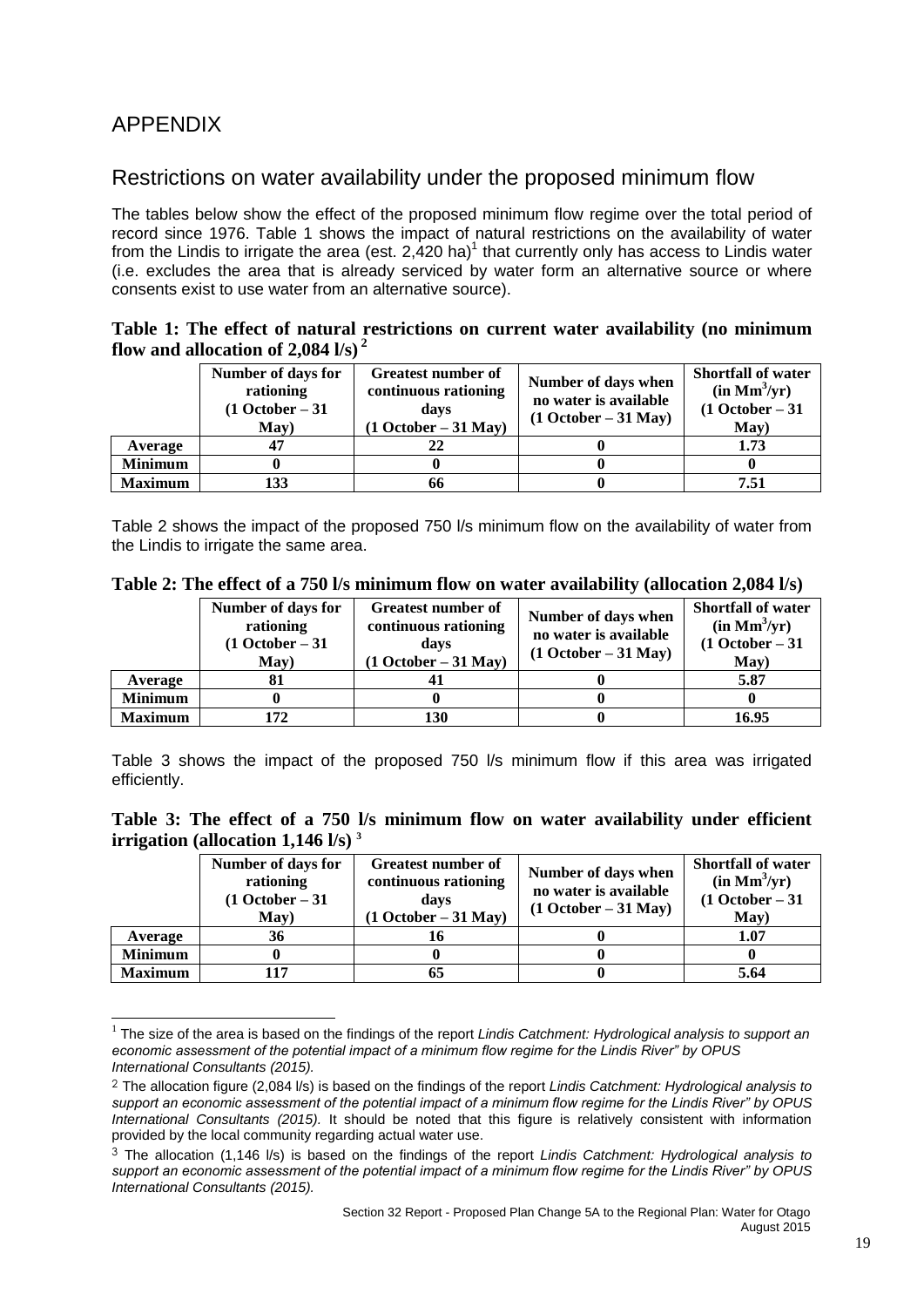## <span id="page-22-0"></span>APPENDIX

-

### <span id="page-22-1"></span>Restrictions on water availability under the proposed minimum flow

The tables below show the effect of the proposed minimum flow regime over the total period of record since 1976. Table 1 shows the impact of natural restrictions on the availability of water from the Lindis to irrigate the area (est. 2,420 ha)<sup>1</sup> that currently only has access to Lindis water (i.e. excludes the area that is already serviced by water form an alternative source or where consents exist to use water from an alternative source).

| Table 1: The effect of natural restrictions on current water availability (no minimum |  |  |  |  |
|---------------------------------------------------------------------------------------|--|--|--|--|
| flow and allocation of 2,084 l/s) <sup>2</sup>                                        |  |  |  |  |

|                | Number of days for<br>rationing<br>$(1 October - 31$<br>Mav) | Greatest number of<br>continuous rationing<br>days<br>$(1 October - 31 May)$ | Number of days when<br>no water is available<br>$(1 October - 31 May)$ | <b>Shortfall of water</b><br>$(in \ Mm^3/yr)$<br>$(1 October - 31$<br>May) |
|----------------|--------------------------------------------------------------|------------------------------------------------------------------------------|------------------------------------------------------------------------|----------------------------------------------------------------------------|
| Average        |                                                              | 22                                                                           |                                                                        | 1.73                                                                       |
| <b>Minimum</b> |                                                              |                                                                              |                                                                        |                                                                            |
| <b>Maximum</b> | 133                                                          | 66                                                                           |                                                                        | 7.51                                                                       |

Table 2 shows the impact of the proposed 750 l/s minimum flow on the availability of water from the Lindis to irrigate the same area.

|  | Table 2: The effect of a 750 l/s minimum flow on water availability (allocation 2,084 l/s) |  |  |
|--|--------------------------------------------------------------------------------------------|--|--|
|--|--------------------------------------------------------------------------------------------|--|--|

|                | Number of days for<br>rationing<br>$(1 October - 31$<br>May) | Greatest number of<br>continuous rationing<br>days<br>$(1 October - 31 May)$ | Number of days when<br>no water is available<br>$(1 October - 31 May)$ | <b>Shortfall of water</b><br>$(in \ Mm3/yr)$<br>$(1 October - 31$<br>May) |
|----------------|--------------------------------------------------------------|------------------------------------------------------------------------------|------------------------------------------------------------------------|---------------------------------------------------------------------------|
| Average        |                                                              | 41                                                                           |                                                                        | 5.87                                                                      |
| <b>Minimum</b> |                                                              |                                                                              |                                                                        |                                                                           |
| <b>Maximum</b> | 172                                                          | 130                                                                          |                                                                        | 16.95                                                                     |

Table 3 shows the impact of the proposed 750 l/s minimum flow if this area was irrigated efficiently.

|                                                           |  |  |  |  |  | Table 3: The effect of a 750 l/s minimum flow on water availability under efficient |  |
|-----------------------------------------------------------|--|--|--|--|--|-------------------------------------------------------------------------------------|--|
| irrigation (allocation 1,146 $\frac{1}{s}$ ) <sup>3</sup> |  |  |  |  |  |                                                                                     |  |

|                | Number of days for<br>rationing<br>$(1 October - 31$<br>May) | Greatest number of<br>continuous rationing<br>days<br>$(1 October - 31 May)$ | Number of days when<br>no water is available<br>$(1 October - 31 May)$ | <b>Shortfall of water</b><br>$(in \ Mm3/yr)$<br>$(1 October - 31$<br>May) |
|----------------|--------------------------------------------------------------|------------------------------------------------------------------------------|------------------------------------------------------------------------|---------------------------------------------------------------------------|
| Average        | 36                                                           | 16                                                                           |                                                                        | 1.07                                                                      |
| <b>Minimum</b> |                                                              |                                                                              |                                                                        |                                                                           |
| <b>Maximum</b> | 17                                                           | 65                                                                           |                                                                        | 5.64                                                                      |

<sup>&</sup>lt;sup>1</sup> The size of the area is based on the findings of the report *Lindis Catchment: Hydrological analysis to support an economic assessment of the potential impact of a minimum flow regime for the Lindis River" by OPUS International Consultants (2015).*

<sup>2</sup> The allocation figure (2,084 l/s) is based on the findings of the report *Lindis Catchment: Hydrological analysis to support an economic assessment of the potential impact of a minimum flow regime for the Lindis River" by OPUS International Consultants (2015).* It should be noted that this figure is relatively consistent with information provided by the local community regarding actual water use.

<sup>3</sup> The allocation (1,146 l/s) is based on the findings of the report *Lindis Catchment: Hydrological analysis to support an economic assessment of the potential impact of a minimum flow regime for the Lindis River" by OPUS International Consultants (2015).*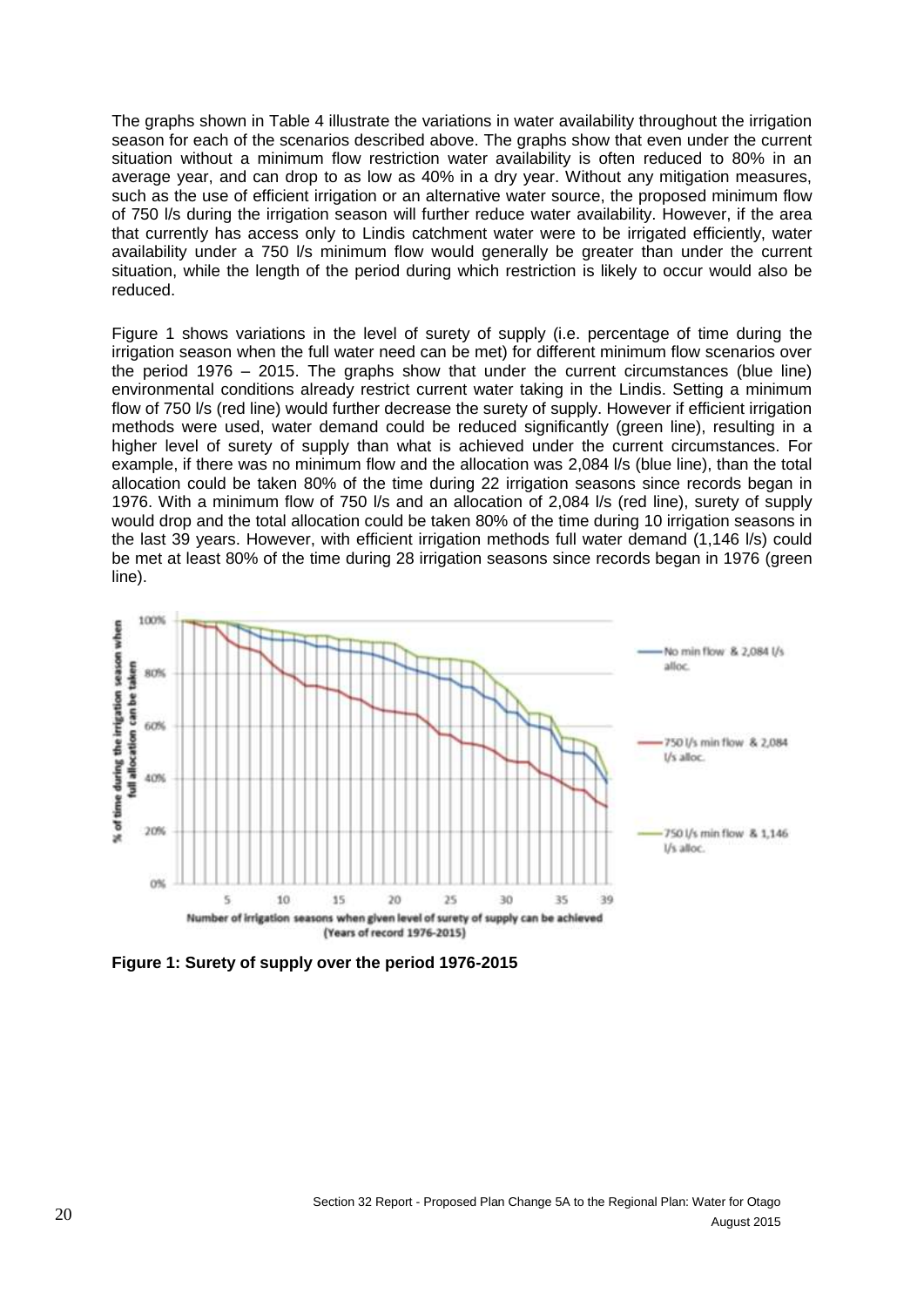The graphs shown in Table 4 illustrate the variations in water availability throughout the irrigation season for each of the scenarios described above. The graphs show that even under the current situation without a minimum flow restriction water availability is often reduced to 80% in an average year, and can drop to as low as 40% in a dry year. Without any mitigation measures, such as the use of efficient irrigation or an alternative water source, the proposed minimum flow of 750 l/s during the irrigation season will further reduce water availability. However, if the area that currently has access only to Lindis catchment water were to be irrigated efficiently, water availability under a 750 l/s minimum flow would generally be greater than under the current situation, while the length of the period during which restriction is likely to occur would also be reduced.

Figure 1 shows variations in the level of surety of supply (i.e. percentage of time during the irrigation season when the full water need can be met) for different minimum flow scenarios over the period 1976 – 2015. The graphs show that under the current circumstances (blue line) environmental conditions already restrict current water taking in the Lindis. Setting a minimum flow of 750 l/s (red line) would further decrease the surety of supply. However if efficient irrigation methods were used, water demand could be reduced significantly (green line), resulting in a higher level of surety of supply than what is achieved under the current circumstances. For example, if there was no minimum flow and the allocation was 2,084 l/s (blue line), than the total allocation could be taken 80% of the time during 22 irrigation seasons since records began in 1976. With a minimum flow of 750 l/s and an allocation of 2,084 l/s (red line), surety of supply would drop and the total allocation could be taken 80% of the time during 10 irrigation seasons in the last 39 years. However, with efficient irrigation methods full water demand (1,146 l/s) could be met at least 80% of the time during 28 irrigation seasons since records began in 1976 (green line).



**Figure 1: Surety of supply over the period 1976-2015**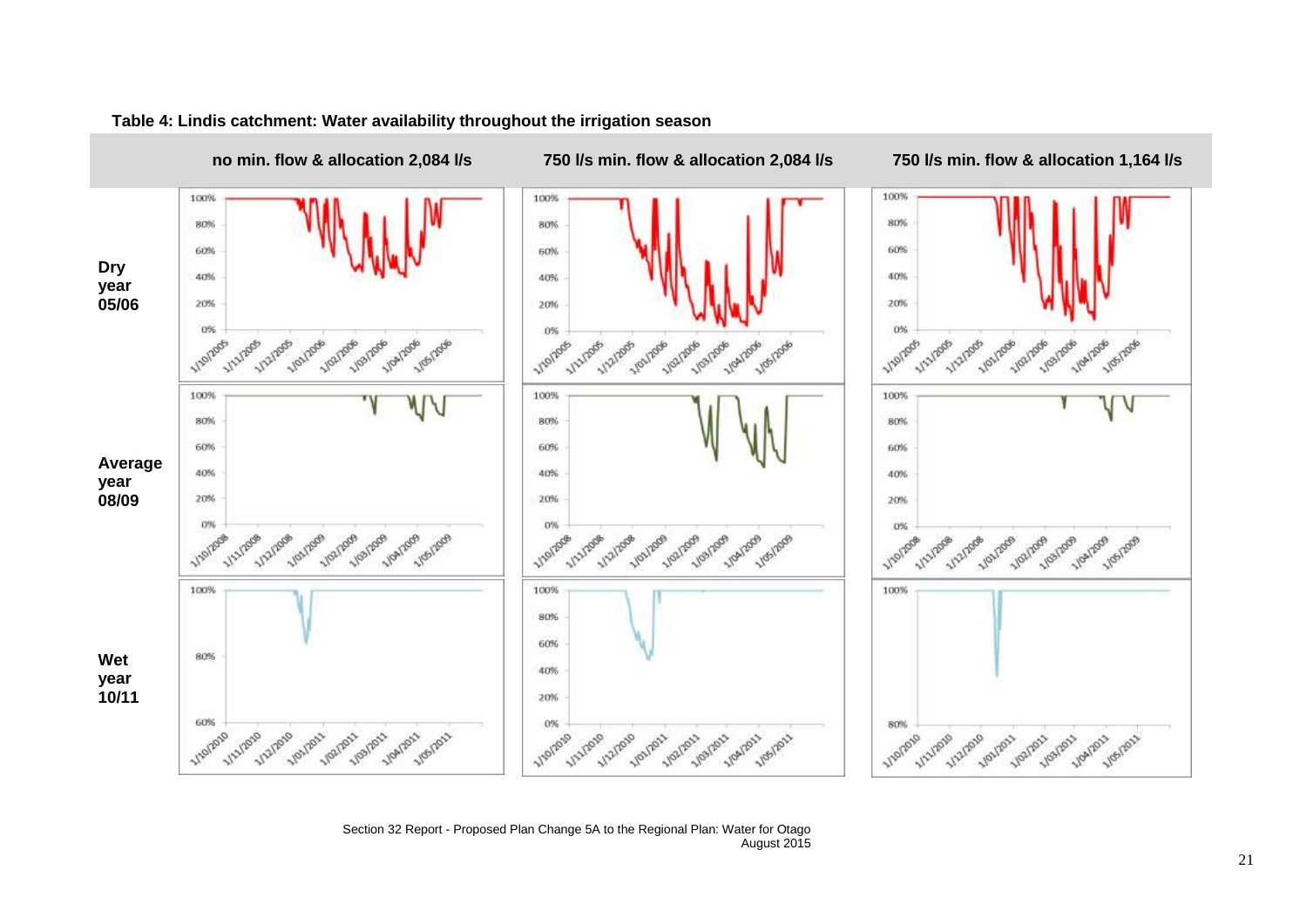

#### **Table 4: Lindis catchment: Water availability throughout the irrigation season**

Section 32 Report - Proposed Plan Change 5A to the Regional Plan: Water for Otago August 2015